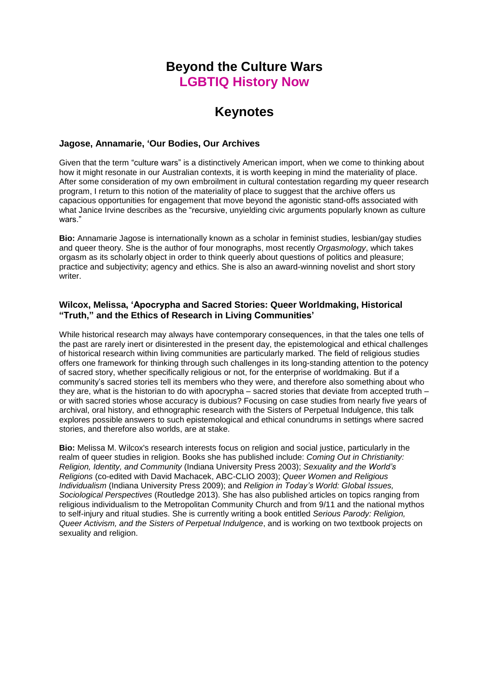# **Beyond the Culture Wars LGBTIQ History Now**

# **Keynotes**

## **Jagose, Annamarie, 'Our Bodies, Our Archives**

Given that the term "culture wars" is a distinctively American import, when we come to thinking about how it might resonate in our Australian contexts, it is worth keeping in mind the materiality of place. After some consideration of my own embroilment in cultural contestation regarding my queer research program, I return to this notion of the materiality of place to suggest that the archive offers us capacious opportunities for engagement that move beyond the agonistic stand-offs associated with what Janice Irvine describes as the "recursive, unyielding civic arguments popularly known as culture wars."

**Bio:** Annamarie Jagose is internationally known as a scholar in feminist studies, lesbian/gay studies and queer theory. She is the author of four monographs, most recently *Orgasmology*, which takes orgasm as its scholarly object in order to think queerly about questions of politics and pleasure; practice and subjectivity; agency and ethics. She is also an award-winning novelist and short story writer.

# **Wilcox, Melissa, 'Apocrypha and Sacred Stories: Queer Worldmaking, Historical "Truth," and the Ethics of Research in Living Communities'**

While historical research may always have contemporary consequences, in that the tales one tells of the past are rarely inert or disinterested in the present day, the epistemological and ethical challenges of historical research within living communities are particularly marked. The field of religious studies offers one framework for thinking through such challenges in its long-standing attention to the potency of sacred story, whether specifically religious or not, for the enterprise of worldmaking. But if a community's sacred stories tell its members who they were, and therefore also something about who they are, what is the historian to do with apocrypha – sacred stories that deviate from accepted truth – or with sacred stories whose accuracy is dubious? Focusing on case studies from nearly five years of archival, oral history, and ethnographic research with the Sisters of Perpetual Indulgence, this talk explores possible answers to such epistemological and ethical conundrums in settings where sacred stories, and therefore also worlds, are at stake.

**Bio:** Melissa M. Wilcox's research interests focus on religion and social justice, particularly in the realm of queer studies in religion. Books she has published include: *Coming Out in Christianity: Religion, Identity, and Community* (Indiana University Press 2003); *Sexuality and the World's Religions* (co-edited with David Machacek, ABC-CLIO 2003); *Queer Women and Religious Individualism* (Indiana University Press 2009); and *Religion in Today's World: Global Issues, Sociological Perspectives* (Routledge 2013). She has also published articles on topics ranging from religious individualism to the Metropolitan Community Church and from 9/11 and the national mythos to self-injury and ritual studies. She is currently writing a book entitled *Serious Parody: Religion, Queer Activism, and the Sisters of Perpetual Indulgence*, and is working on two textbook projects on sexuality and religion.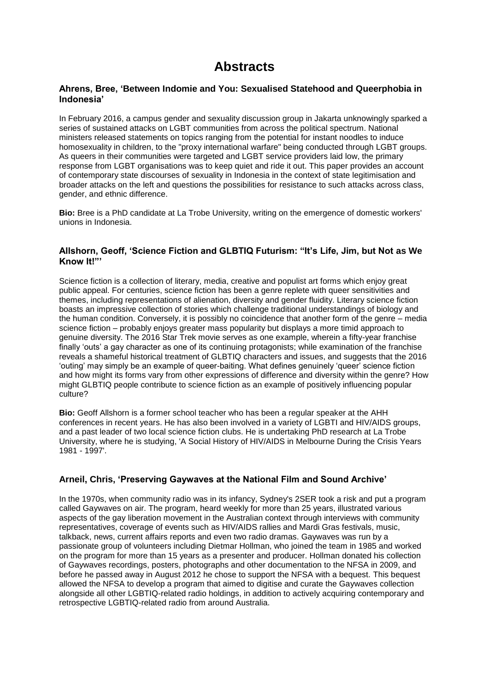# **Abstracts**

## **Ahrens, Bree, 'Between Indomie and You: Sexualised Statehood and Queerphobia in Indonesia'**

In February 2016, a campus gender and sexuality discussion group in Jakarta unknowingly sparked a series of sustained attacks on LGBT communities from across the political spectrum. National ministers released statements on topics ranging from the potential for instant noodles to induce homosexuality in children, to the "proxy international warfare" being conducted through LGBT groups. As queers in their communities were targeted and LGBT service providers laid low, the primary response from LGBT organisations was to keep quiet and ride it out. This paper provides an account of contemporary state discourses of sexuality in Indonesia in the context of state legitimisation and broader attacks on the left and questions the possibilities for resistance to such attacks across class, gender, and ethnic difference.

**Bio:** Bree is a PhD candidate at La Trobe University, writing on the emergence of domestic workers' unions in Indonesia.

## **Allshorn, Geoff, 'Science Fiction and GLBTIQ Futurism: "It's Life, Jim, but Not as We Know It!"'**

Science fiction is a collection of literary, media, creative and populist art forms which enjoy great public appeal. For centuries, science fiction has been a genre replete with queer sensitivities and themes, including representations of alienation, diversity and gender fluidity. Literary science fiction boasts an impressive collection of stories which challenge traditional understandings of biology and the human condition. Conversely, it is possibly no coincidence that another form of the genre – media science fiction – probably enjoys greater mass popularity but displays a more timid approach to genuine diversity. The 2016 Star Trek movie serves as one example, wherein a fifty-year franchise finally 'outs' a gay character as one of its continuing protagonists; while examination of the franchise reveals a shameful historical treatment of GLBTIQ characters and issues, and suggests that the 2016 'outing' may simply be an example of queer-baiting. What defines genuinely 'queer' science fiction and how might its forms vary from other expressions of difference and diversity within the genre? How might GLBTIQ people contribute to science fiction as an example of positively influencing popular culture?

**Bio:** Geoff Allshorn is a former school teacher who has been a regular speaker at the AHH conferences in recent years. He has also been involved in a variety of LGBTI and HIV/AIDS groups, and a past leader of two local science fiction clubs. He is undertaking PhD research at La Trobe University, where he is studying, 'A Social History of HIV/AIDS in Melbourne During the Crisis Years 1981 - 1997'.

#### **Arneil, Chris, 'Preserving Gaywaves at the National Film and Sound Archive'**

In the 1970s, when community radio was in its infancy, Sydney's 2SER took a risk and put a program called Gaywaves on air. The program, heard weekly for more than 25 years, illustrated various aspects of the gay liberation movement in the Australian context through interviews with community representatives, coverage of events such as HIV/AIDS rallies and Mardi Gras festivals, music, talkback, news, current affairs reports and even two radio dramas. Gaywaves was run by a passionate group of volunteers including Dietmar Hollman, who joined the team in 1985 and worked on the program for more than 15 years as a presenter and producer. Hollman donated his collection of Gaywaves recordings, posters, photographs and other documentation to the NFSA in 2009, and before he passed away in August 2012 he chose to support the NFSA with a bequest. This bequest allowed the NFSA to develop a program that aimed to digitise and curate the Gaywaves collection alongside all other LGBTIQ-related radio holdings, in addition to actively acquiring contemporary and retrospective LGBTIQ-related radio from around Australia.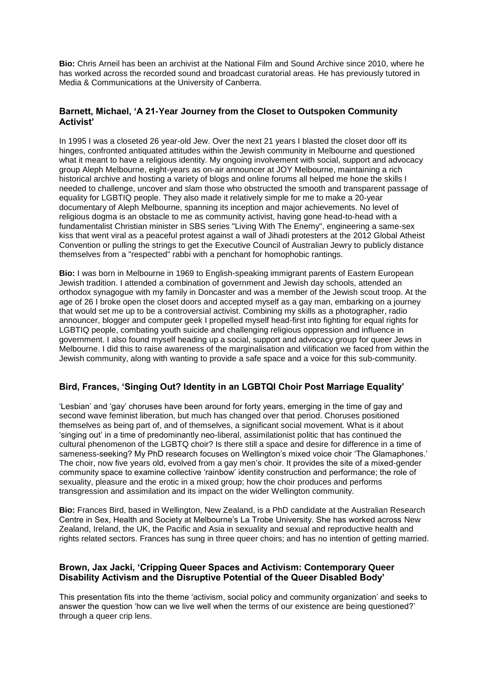**Bio:** Chris Arneil has been an archivist at the National Film and Sound Archive since 2010, where he has worked across the recorded sound and broadcast curatorial areas. He has previously tutored in Media & Communications at the University of Canberra.

# **Barnett, Michael, 'A 21-Year Journey from the Closet to Outspoken Community Activist'**

In 1995 I was a closeted 26 year-old Jew. Over the next 21 years I blasted the closet door off its hinges, confronted antiquated attitudes within the Jewish community in Melbourne and questioned what it meant to have a religious identity. My ongoing involvement with social, support and advocacy group Aleph Melbourne, eight-years as on-air announcer at JOY Melbourne, maintaining a rich historical archive and hosting a variety of blogs and online forums all helped me hone the skills I needed to challenge, uncover and slam those who obstructed the smooth and transparent passage of equality for LGBTIQ people. They also made it relatively simple for me to make a 20-year documentary of Aleph Melbourne, spanning its inception and major achievements. No level of religious dogma is an obstacle to me as community activist, having gone head-to-head with a fundamentalist Christian minister in SBS series "Living With The Enemy", engineering a same-sex kiss that went viral as a peaceful protest against a wall of Jihadi protesters at the 2012 Global Atheist Convention or pulling the strings to get the Executive Council of Australian Jewry to publicly distance themselves from a "respected" rabbi with a penchant for homophobic rantings.

**Bio:** I was born in Melbourne in 1969 to English-speaking immigrant parents of Eastern European Jewish tradition. I attended a combination of government and Jewish day schools, attended an orthodox synagogue with my family in Doncaster and was a member of the Jewish scout troop. At the age of 26 I broke open the closet doors and accepted myself as a gay man, embarking on a journey that would set me up to be a controversial activist. Combining my skills as a photographer, radio announcer, blogger and computer geek I propelled myself head-first into fighting for equal rights for LGBTIQ people, combating youth suicide and challenging religious oppression and influence in government. I also found myself heading up a social, support and advocacy group for queer Jews in Melbourne. I did this to raise awareness of the marginalisation and vilification we faced from within the Jewish community, along with wanting to provide a safe space and a voice for this sub-community.

# **Bird, Frances, 'Singing Out? Identity in an LGBTQI Choir Post Marriage Equality'**

'Lesbian' and 'gay' choruses have been around for forty years, emerging in the time of gay and second wave feminist liberation, but much has changed over that period. Choruses positioned themselves as being part of, and of themselves, a significant social movement. What is it about 'singing out' in a time of predominantly neo-liberal, assimilationist politic that has continued the cultural phenomenon of the LGBTQ choir? Is there still a space and desire for difference in a time of sameness-seeking? My PhD research focuses on Wellington's mixed voice choir 'The Glamaphones.' The choir, now five years old, evolved from a gay men's choir. It provides the site of a mixed-gender community space to examine collective 'rainbow' identity construction and performance; the role of sexuality, pleasure and the erotic in a mixed group; how the choir produces and performs transgression and assimilation and its impact on the wider Wellington community.

**Bio:** Frances Bird, based in Wellington, New Zealand, is a PhD candidate at the Australian Research Centre in Sex, Health and Society at Melbourne's La Trobe University. She has worked across New Zealand, Ireland, the UK, the Pacific and Asia in sexuality and sexual and reproductive health and rights related sectors. Frances has sung in three queer choirs; and has no intention of getting married.

# **Brown, Jax Jacki, 'Cripping Queer Spaces and Activism: Contemporary Queer Disability Activism and the Disruptive Potential of the Queer Disabled Body'**

This presentation fits into the theme 'activism, social policy and community organization' and seeks to answer the question 'how can we live well when the terms of our existence are being questioned?' through a queer crip lens.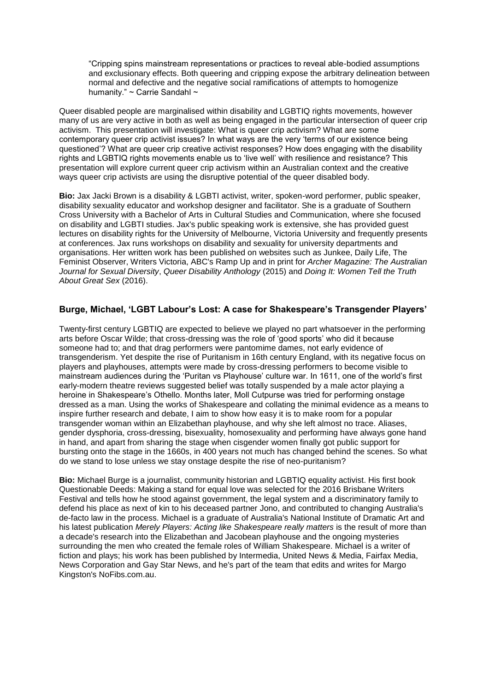"Cripping spins mainstream representations or practices to reveal able-bodied assumptions and exclusionary effects. Both queering and cripping expose the arbitrary delineation between normal and defective and the negative social ramifications of attempts to homogenize humanity." ~ Carrie Sandahl ~

Queer disabled people are marginalised within disability and LGBTIQ rights movements, however many of us are very active in both as well as being engaged in the particular intersection of queer crip activism. This presentation will investigate: What is queer crip activism? What are some contemporary queer crip activist issues? In what ways are the very 'terms of our existence being questioned'? What are queer crip creative activist responses? How does engaging with the disability rights and LGBTIQ rights movements enable us to 'live well' with resilience and resistance? This presentation will explore current queer crip activism within an Australian context and the creative ways queer crip activists are using the disruptive potential of the queer disabled body.

**Bio:** Jax Jacki Brown is a disability & LGBTI activist, writer, spoken-word performer, public speaker, disability sexuality educator and workshop designer and facilitator. She is a graduate of Southern Cross University with a Bachelor of Arts in Cultural Studies and Communication, where she focused on disability and LGBTI studies. Jax's public speaking work is extensive, she has provided guest lectures on disability rights for the University of Melbourne, Victoria University and frequently presents at conferences. Jax runs workshops on disability and sexuality for university departments and organisations. Her written work has been published on websites such as Junkee, Daily Life, The Feminist Observer, Writers Victoria, ABC's Ramp Up and in print for *Archer Magazine: The Australian Journal for Sexual Diversity*, *Queer Disability Anthology* (2015) and *Doing It: Women Tell the Truth About Great Sex* (2016).

# **Burge, Michael, 'LGBT Labour's Lost: A case for Shakespeare's Transgender Players'**

Twenty-first century LGBTIQ are expected to believe we played no part whatsoever in the performing arts before Oscar Wilde; that cross-dressing was the role of ʻgood sports' who did it because someone had to; and that drag performers were pantomime dames, not early evidence of transgenderism. Yet despite the rise of Puritanism in 16th century England, with its negative focus on players and playhouses, attempts were made by cross-dressing performers to become visible to mainstream audiences during the ʻPuritan vs Playhouse' culture war. In 1611, one of the world's first early-modern theatre reviews suggested belief was totally suspended by a male actor playing a heroine in Shakespeare's Othello. Months later, Moll Cutpurse was tried for performing onstage dressed as a man. Using the works of Shakespeare and collating the minimal evidence as a means to inspire further research and debate, I aim to show how easy it is to make room for a popular transgender woman within an Elizabethan playhouse, and why she left almost no trace. Aliases, gender dysphoria, cross-dressing, bisexuality, homosexuality and performing have always gone hand in hand, and apart from sharing the stage when cisgender women finally got public support for bursting onto the stage in the 1660s, in 400 years not much has changed behind the scenes. So what do we stand to lose unless we stay onstage despite the rise of neo-puritanism?

**Bio:** Michael Burge is a journalist, community historian and LGBTIQ equality activist. His first book Questionable Deeds: Making a stand for equal love was selected for the 2016 Brisbane Writers Festival and tells how he stood against government, the legal system and a discriminatory family to defend his place as next of kin to his deceased partner Jono, and contributed to changing Australia's de-facto law in the process. Michael is a graduate of Australia's National Institute of Dramatic Art and his latest publication *Merely Players: Acting like Shakespeare really matters* is the result of more than a decade's research into the Elizabethan and Jacobean playhouse and the ongoing mysteries surrounding the men who created the female roles of William Shakespeare. Michael is a writer of fiction and plays; his work has been published by Intermedia, United News & Media, Fairfax Media, News Corporation and Gay Star News, and he's part of the team that edits and writes for Margo Kingston's NoFibs.com.au.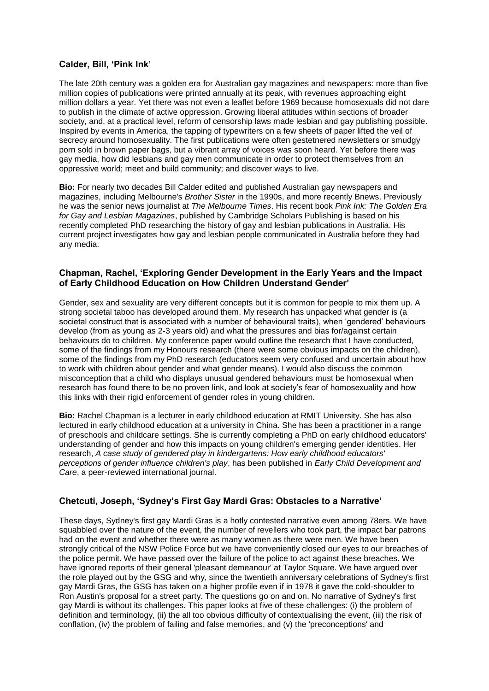# **Calder, Bill, 'Pink Ink'**

The late 20th century was a golden era for Australian gay magazines and newspapers: more than five million copies of publications were printed annually at its peak, with revenues approaching eight million dollars a year. Yet there was not even a leaflet before 1969 because homosexuals did not dare to publish in the climate of active oppression. Growing liberal attitudes within sections of broader society, and, at a practical level, reform of censorship laws made lesbian and gay publishing possible. Inspired by events in America, the tapping of typewriters on a few sheets of paper lifted the veil of secrecy around homosexuality. The first publications were often gestetnered newsletters or smudgy porn sold in brown paper bags, but a vibrant array of voices was soon heard. Yet before there was gay media, how did lesbians and gay men communicate in order to protect themselves from an oppressive world; meet and build community; and discover ways to live.

**Bio:** For nearly two decades Bill Calder edited and published Australian gay newspapers and magazines, including Melbourne's *Brother Sister* in the 1990s, and more recently Bnews. Previously he was the senior news journalist at *The Melbourne Times*. His recent book *Pink Ink: The Golden Era for Gay and Lesbian Magazines*, published by Cambridge Scholars Publishing is based on his recently completed PhD researching the history of gay and lesbian publications in Australia. His current project investigates how gay and lesbian people communicated in Australia before they had any media.

#### **Chapman, Rachel, 'Exploring Gender Development in the Early Years and the Impact of Early Childhood Education on How Children Understand Gender'**

Gender, sex and sexuality are very different concepts but it is common for people to mix them up. A strong societal taboo has developed around them. My research has unpacked what gender is (a societal construct that is associated with a number of behavioural traits), when 'gendered' behaviours develop (from as young as 2-3 years old) and what the pressures and bias for/against certain behaviours do to children. My conference paper would outline the research that I have conducted, some of the findings from my Honours research (there were some obvious impacts on the children), some of the findings from my PhD research (educators seem very confused and uncertain about how to work with children about gender and what gender means). I would also discuss the common misconception that a child who displays unusual gendered behaviours must be homosexual when research has found there to be no proven link, and look at society's fear of homosexuality and how this links with their rigid enforcement of gender roles in young children.

**Bio:** Rachel Chapman is a lecturer in early childhood education at RMIT University. She has also lectured in early childhood education at a university in China. She has been a practitioner in a range of preschools and childcare settings. She is currently completing a PhD on early childhood educators' understanding of gender and how this impacts on young children's emerging gender identities. Her research, *A case study of gendered play in kindergartens: How early childhood educators' perceptions of gender influence children's play*, has been published in *Early Child Development and Care*, a peer-reviewed international journal.

# **Chetcuti, Joseph, 'Sydney's First Gay Mardi Gras: Obstacles to a Narrative'**

These days, Sydney's first gay Mardi Gras is a hotly contested narrative even among 78ers. We have squabbled over the nature of the event, the number of revellers who took part, the impact bar patrons had on the event and whether there were as many women as there were men. We have been strongly critical of the NSW Police Force but we have conveniently closed our eyes to our breaches of the police permit. We have passed over the failure of the police to act against these breaches. We have ignored reports of their general 'pleasant demeanour' at Taylor Square. We have argued over the role played out by the GSG and why, since the twentieth anniversary celebrations of Sydney's first gay Mardi Gras, the GSG has taken on a higher profile even if in 1978 it gave the cold-shoulder to Ron Austin's proposal for a street party. The questions go on and on. No narrative of Sydney's first gay Mardi is without its challenges. This paper looks at five of these challenges: (i) the problem of definition and terminology, (ii) the all too obvious difficulty of contextualising the event, (iii) the risk of conflation, (iv) the problem of failing and false memories, and (v) the 'preconceptions' and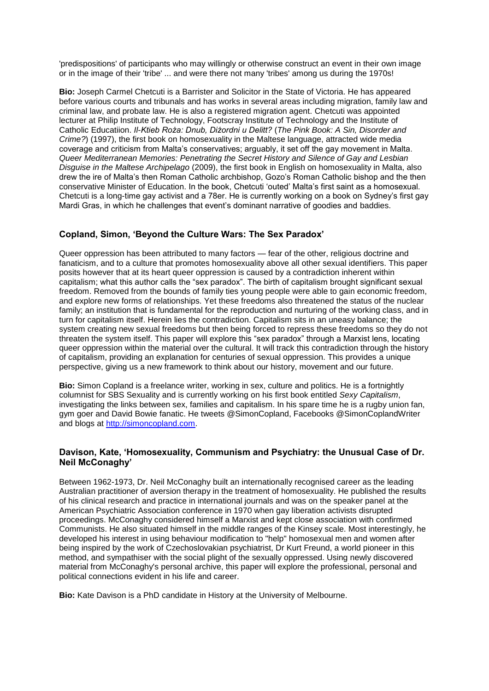'predispositions' of participants who may willingly or otherwise construct an event in their own image or in the image of their 'tribe' ... and were there not many 'tribes' among us during the 1970s!

**Bio:** Joseph Carmel Chetcuti is a Barrister and Solicitor in the State of Victoria. He has appeared before various courts and tribunals and has works in several areas including migration, family law and criminal law, and probate law. He is also a registered migration agent. Chetcuti was appointed lecturer at Philip Institute of Technology, Footscray Institute of Technology and the Institute of Catholic Educatiion. *Il-Ktieb Roża: Dnub, Diżordni u Delitt?* (*The Pink Book: A Sin, Disorder and Crime?*) (1997), the first book on homosexuality in the Maltese language, attracted wide media coverage and criticism from Malta's conservatives; arguably, it set off the gay movement in Malta. *Queer Mediterranean Memories: Penetrating the Secret History and Silence of Gay and Lesbian Disguise in the Maltese Archipelago* (2009), the first book in English on homosexuality in Malta, also drew the ire of Malta's then Roman Catholic archbishop, Gozo's Roman Catholic bishop and the then conservative Minister of Education. In the book, Chetcuti 'outed' Malta's first saint as a homosexual. Chetcuti is a long-time gay activist and a 78er. He is currently working on a book on Sydney's first gay Mardi Gras, in which he challenges that event's dominant narrative of goodies and baddies.

# **Copland, Simon, 'Beyond the Culture Wars: The Sex Paradox'**

Queer oppression has been attributed to many factors — fear of the other, religious doctrine and fanaticism, and to a culture that promotes homosexuality above all other sexual identifiers. This paper posits however that at its heart queer oppression is caused by a contradiction inherent within capitalism; what this author calls the "sex paradox". The birth of capitalism brought significant sexual freedom. Removed from the bounds of family ties young people were able to gain economic freedom, and explore new forms of relationships. Yet these freedoms also threatened the status of the nuclear family; an institution that is fundamental for the reproduction and nurturing of the working class, and in turn for capitalism itself. Herein lies the contradiction. Capitalism sits in an uneasy balance; the system creating new sexual freedoms but then being forced to repress these freedoms so they do not threaten the system itself. This paper will explore this "sex paradox" through a Marxist lens, locating queer oppression within the material over the cultural. It will track this contradiction through the history of capitalism, providing an explanation for centuries of sexual oppression. This provides a unique perspective, giving us a new framework to think about our history, movement and our future.

**Bio:** Simon Copland is a freelance writer, working in sex, culture and politics. He is a fortnightly columnist for SBS Sexuality and is currently working on his first book entitled *Sexy Capitalism*, investigating the links between sex, families and capitalism. In his spare time he is a rugby union fan, gym goer and David Bowie fanatic. He tweets @SimonCopland, Facebooks @SimonCoplandWriter and blogs at [http://simoncopland.com.](http://simoncopland.com/)

# **Davison, Kate, 'Homosexuality, Communism and Psychiatry: the Unusual Case of Dr. Neil McConaghy'**

Between 1962-1973, Dr. Neil McConaghy built an internationally recognised career as the leading Australian practitioner of aversion therapy in the treatment of homosexuality. He published the results of his clinical research and practice in international journals and was on the speaker panel at the American Psychiatric Association conference in 1970 when gay liberation activists disrupted proceedings. McConaghy considered himself a Marxist and kept close association with confirmed Communists. He also situated himself in the middle ranges of the Kinsey scale. Most interestingly, he developed his interest in using behaviour modification to "help" homosexual men and women after being inspired by the work of Czechoslovakian psychiatrist, Dr Kurt Freund, a world pioneer in this method, and sympathiser with the social plight of the sexually oppressed. Using newly discovered material from McConaghy's personal archive, this paper will explore the professional, personal and political connections evident in his life and career.

**Bio:** Kate Davison is a PhD candidate in History at the University of Melbourne.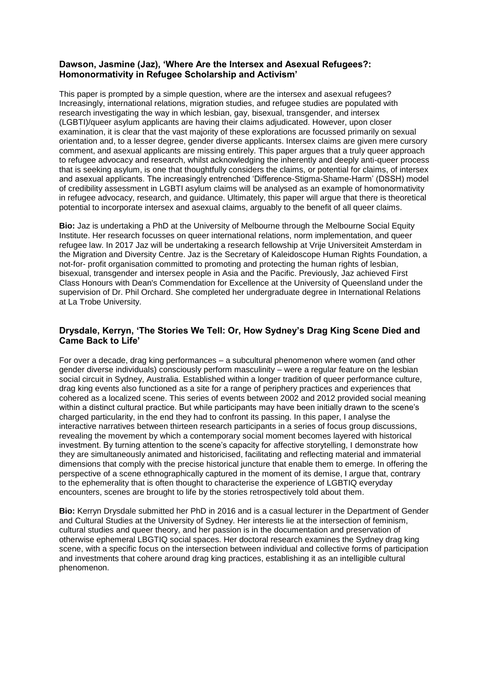# **Dawson, Jasmine (Jaz), 'Where Are the Intersex and Asexual Refugees?: Homonormativity in Refugee Scholarship and Activism'**

This paper is prompted by a simple question, where are the intersex and asexual refugees? Increasingly, international relations, migration studies, and refugee studies are populated with research investigating the way in which lesbian, gay, bisexual, transgender, and intersex (LGBTI)/queer asylum applicants are having their claims adjudicated. However, upon closer examination, it is clear that the vast majority of these explorations are focussed primarily on sexual orientation and, to a lesser degree, gender diverse applicants. Intersex claims are given mere cursory comment, and asexual applicants are missing entirely. This paper argues that a truly queer approach to refugee advocacy and research, whilst acknowledging the inherently and deeply anti-queer process that is seeking asylum, is one that thoughtfully considers the claims, or potential for claims, of intersex and asexual applicants. The increasingly entrenched 'Difference-Stigma-Shame-Harm' (DSSH) model of credibility assessment in LGBTI asylum claims will be analysed as an example of homonormativity in refugee advocacy, research, and guidance. Ultimately, this paper will argue that there is theoretical potential to incorporate intersex and asexual claims, arguably to the benefit of all queer claims.

**Bio:** Jaz is undertaking a PhD at the University of Melbourne through the Melbourne Social Equity Institute. Her research focusses on queer international relations, norm implementation, and queer refugee law. In 2017 Jaz will be undertaking a research fellowship at Vrije Universiteit Amsterdam in the Migration and Diversity Centre. Jaz is the Secretary of Kaleidoscope Human Rights Foundation, a not-for- profit organisation committed to promoting and protecting the human rights of lesbian, bisexual, transgender and intersex people in Asia and the Pacific. Previously, Jaz achieved First Class Honours with Dean's Commendation for Excellence at the University of Queensland under the supervision of Dr. Phil Orchard. She completed her undergraduate degree in International Relations at La Trobe University.

# **Drysdale, Kerryn, 'The Stories We Tell: Or, How Sydney's Drag King Scene Died and Came Back to Life'**

For over a decade, drag king performances – a subcultural phenomenon where women (and other gender diverse individuals) consciously perform masculinity – were a regular feature on the lesbian social circuit in Sydney, Australia. Established within a longer tradition of queer performance culture, drag king events also functioned as a site for a range of periphery practices and experiences that cohered as a localized scene. This series of events between 2002 and 2012 provided social meaning within a distinct cultural practice. But while participants may have been initially drawn to the scene's charged particularity, in the end they had to confront its passing. In this paper, I analyse the interactive narratives between thirteen research participants in a series of focus group discussions, revealing the movement by which a contemporary social moment becomes layered with historical investment. By turning attention to the scene's capacity for affective storytelling, I demonstrate how they are simultaneously animated and historicised, facilitating and reflecting material and immaterial dimensions that comply with the precise historical juncture that enable them to emerge. In offering the perspective of a scene ethnographically captured in the moment of its demise, I argue that, contrary to the ephemerality that is often thought to characterise the experience of LGBTIQ everyday encounters, scenes are brought to life by the stories retrospectively told about them.

**Bio:** Kerryn Drysdale submitted her PhD in 2016 and is a casual lecturer in the Department of Gender and Cultural Studies at the University of Sydney. Her interests lie at the intersection of feminism, cultural studies and queer theory, and her passion is in the documentation and preservation of otherwise ephemeral LBGTIQ social spaces. Her doctoral research examines the Sydney drag king scene, with a specific focus on the intersection between individual and collective forms of participation and investments that cohere around drag king practices, establishing it as an intelligible cultural phenomenon.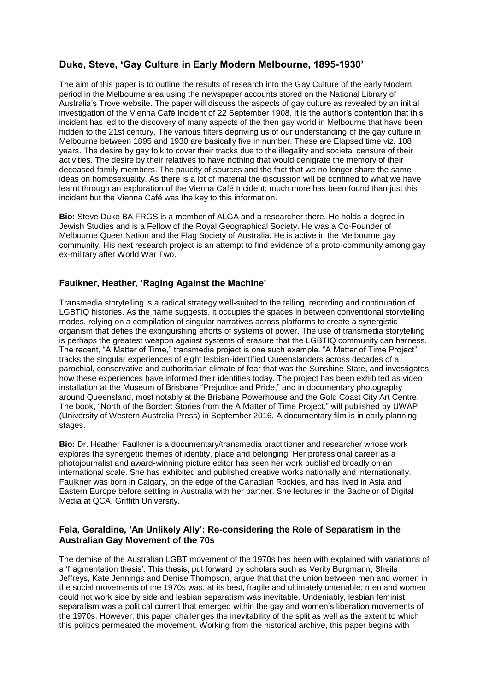# **Duke, Steve, 'Gay Culture in Early Modern Melbourne, 1895-1930'**

The aim of this paper is to outline the results of research into the Gay Culture of the early Modern period in the Melbourne area using the newspaper accounts stored on the National Library of Australia's Trove website. The paper will discuss the aspects of gay culture as revealed by an initial investigation of the Vienna Café Incident of 22 September 1908. It is the author's contention that this incident has led to the discovery of many aspects of the then gay world in Melbourne that have been hidden to the 21st century. The various filters depriving us of our understanding of the gay culture in Melbourne between 1895 and 1930 are basically five in number. These are Elapsed time viz. 108 years. The desire by gay folk to cover their tracks due to the illegality and societal censure of their activities. The desire by their relatives to have nothing that would denigrate the memory of their deceased family members. The paucity of sources and the fact that we no longer share the same ideas on homosexuality. As there is a lot of material the discussion will be confined to what we have learnt through an exploration of the Vienna Café Incident; much more has been found than just this incident but the Vienna Café was the key to this information.

**Bio:** Steve Duke BA FRGS is a member of ALGA and a researcher there. He holds a degree in Jewish Studies and is a Fellow of the Royal Geographical Society. He was a Co-Founder of Melbourne Queer Nation and the Flag Society of Australia. He is active in the Melbourne gay community. His next research project is an attempt to find evidence of a proto-community among gay ex-military after World War Two.

# **Faulkner, Heather, 'Raging Against the Machine'**

Transmedia storytelling is a radical strategy well-suited to the telling, recording and continuation of LGBTIQ histories. As the name suggests, it occupies the spaces in between conventional storytelling modes, relying on a compilation of singular narratives across platforms to create a synergistic organism that defies the extinguishing efforts of systems of power. The use of transmedia storytelling is perhaps the greatest weapon against systems of erasure that the LGBTIQ community can harness. The recent, "A Matter of Time," transmedia project is one such example. "A Matter of Time Project" tracks the singular experiences of eight lesbian-identified Queenslanders across decades of a parochial, conservative and authoritarian climate of fear that was the Sunshine State, and investigates how these experiences have informed their identities today. The project has been exhibited as video installation at the Museum of Brisbane "Prejudice and Pride," and in documentary photography around Queensland, most notably at the Brisbane Powerhouse and the Gold Coast City Art Centre. The book, "North of the Border: Stories from the A Matter of Time Project," will published by UWAP (University of Western Australia Press) in September 2016. A documentary film is in early planning stages.

**Bio:** Dr. Heather Faulkner is a documentary/transmedia practitioner and researcher whose work explores the synergetic themes of identity, place and belonging. Her professional career as a photojournalist and award-winning picture editor has seen her work published broadly on an international scale. She has exhibited and published creative works nationally and internationally. Faulkner was born in Calgary, on the edge of the Canadian Rockies, and has lived in Asia and Eastern Europe before settling in Australia with her partner. She lectures in the Bachelor of Digital Media at QCA, Griffith University.

# **Fela, Geraldine, 'An Unlikely Ally': Re-considering the Role of Separatism in the Australian Gay Movement of the 70s**

The demise of the Australian LGBT movement of the 1970s has been with explained with variations of a 'fragmentation thesis'. This thesis, put forward by scholars such as Verity Burgmann, Sheila Jeffreys, Kate Jennings and Denise Thompson, argue that that the union between men and women in the social movements of the 1970s was, at its best, fragile and ultimately untenable; men and women could not work side by side and lesbian separatism was inevitable. Undeniably, lesbian feminist separatism was a political current that emerged within the gay and women's liberation movements of the 1970s. However, this paper challenges the inevitability of the split as well as the extent to which this politics permeated the movement. Working from the historical archive, this paper begins with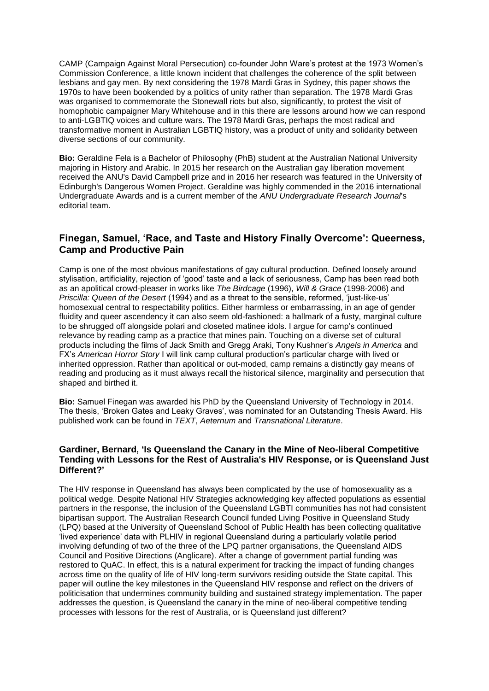CAMP (Campaign Against Moral Persecution) co-founder John Ware's protest at the 1973 Women's Commission Conference, a little known incident that challenges the coherence of the split between lesbians and gay men. By next considering the 1978 Mardi Gras in Sydney, this paper shows the 1970s to have been bookended by a politics of unity rather than separation. The 1978 Mardi Gras was organised to commemorate the Stonewall riots but also, significantly, to protest the visit of homophobic campaigner Mary Whitehouse and in this there are lessons around how we can respond to anti-LGBTIQ voices and culture wars. The 1978 Mardi Gras, perhaps the most radical and transformative moment in Australian LGBTIQ history, was a product of unity and solidarity between diverse sections of our community.

**Bio:** Geraldine Fela is a Bachelor of Philosophy (PhB) student at the Australian National University majoring in History and Arabic. In 2015 her research on the Australian gay liberation movement received the ANU's David Campbell prize and in 2016 her research was featured in the University of Edinburgh's Dangerous Women Project. Geraldine was highly commended in the 2016 international Undergraduate Awards and is a current member of the *ANU Undergraduate Research Journal*'s editorial team.

# **Finegan, Samuel, 'Race, and Taste and History Finally Overcome': Queerness, Camp and Productive Pain**

Camp is one of the most obvious manifestations of gay cultural production. Defined loosely around stylisation, artificiality, rejection of 'good' taste and a lack of seriousness, Camp has been read both as an apolitical crowd-pleaser in works like *The Birdcage* (1996), *Will & Grace* (1998-2006) and *Priscilla: Queen of the Desert* (1994) and as a threat to the sensible, reformed, 'just-like-us' homosexual central to respectability politics. Either harmless or embarrassing, in an age of gender fluidity and queer ascendency it can also seem old-fashioned: a hallmark of a fusty, marginal culture to be shrugged off alongside polari and closeted matinee idols. I argue for camp's continued relevance by reading camp as a practice that mines pain. Touching on a diverse set of cultural products including the films of Jack Smith and Gregg Araki, Tony Kushner's *Angels in America* and FX's *American Horror Story* I will link camp cultural production's particular charge with lived or inherited oppression. Rather than apolitical or out-moded, camp remains a distinctly gay means of reading and producing as it must always recall the historical silence, marginality and persecution that shaped and birthed it.

**Bio:** Samuel Finegan was awarded his PhD by the Queensland University of Technology in 2014. The thesis, 'Broken Gates and Leaky Graves', was nominated for an Outstanding Thesis Award. His published work can be found in *TEXT*, *Aeternum* and *Transnational Literature*.

## **Gardiner, Bernard, 'Is Queensland the Canary in the Mine of Neo-liberal Competitive Tending with Lessons for the Rest of Australia's HIV Response, or is Queensland Just Different?'**

The HIV response in Queensland has always been complicated by the use of homosexuality as a political wedge. Despite National HIV Strategies acknowledging key affected populations as essential partners in the response, the inclusion of the Queensland LGBTI communities has not had consistent bipartisan support. The Australian Research Council funded Living Positive in Queensland Study (LPQ) based at the University of Queensland School of Public Health has been collecting qualitative 'lived experience' data with PLHIV in regional Queensland during a particularly volatile period involving defunding of two of the three of the LPQ partner organisations, the Queensland AIDS Council and Positive Directions (Anglicare). After a change of government partial funding was restored to QuAC. In effect, this is a natural experiment for tracking the impact of funding changes across time on the quality of life of HIV long-term survivors residing outside the State capital. This paper will outline the key milestones in the Queensland HIV response and reflect on the drivers of politicisation that undermines community building and sustained strategy implementation. The paper addresses the question, is Queensland the canary in the mine of neo-liberal competitive tending processes with lessons for the rest of Australia, or is Queensland just different?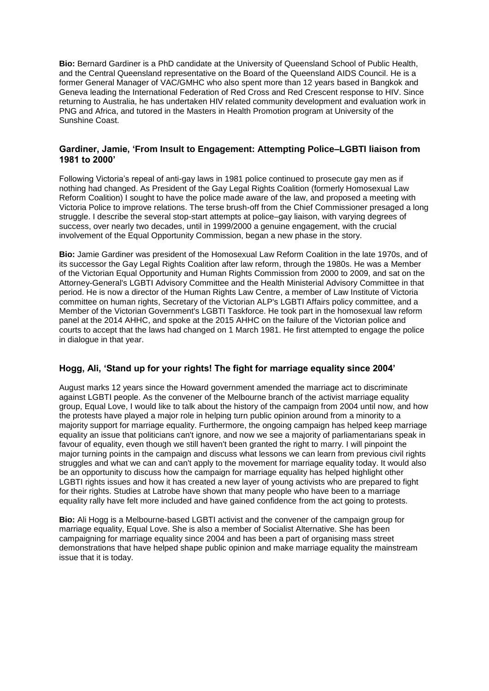**Bio:** Bernard Gardiner is a PhD candidate at the University of Queensland School of Public Health, and the Central Queensland representative on the Board of the Queensland AIDS Council. He is a former General Manager of VAC/GMHC who also spent more than 12 years based in Bangkok and Geneva leading the International Federation of Red Cross and Red Crescent response to HIV. Since returning to Australia, he has undertaken HIV related community development and evaluation work in PNG and Africa, and tutored in the Masters in Health Promotion program at University of the Sunshine Coast.

## **Gardiner, Jamie, 'From Insult to Engagement: Attempting Police–LGBTI liaison from 1981 to 2000'**

Following Victoria's repeal of anti-gay laws in 1981 police continued to prosecute gay men as if nothing had changed. As President of the Gay Legal Rights Coalition (formerly Homosexual Law Reform Coalition) I sought to have the police made aware of the law, and proposed a meeting with Victoria Police to improve relations. The terse brush-off from the Chief Commissioner presaged a long struggle. I describe the several stop-start attempts at police–gay liaison, with varying degrees of success, over nearly two decades, until in 1999/2000 a genuine engagement, with the crucial involvement of the Equal Opportunity Commission, began a new phase in the story.

**Bio:** Jamie Gardiner was president of the Homosexual Law Reform Coalition in the late 1970s, and of its successor the Gay Legal Rights Coalition after law reform, through the 1980s. He was a Member of the Victorian Equal Opportunity and Human Rights Commission from 2000 to 2009, and sat on the Attorney-General's LGBTI Advisory Committee and the Health Ministerial Advisory Committee in that period. He is now a director of the Human Rights Law Centre, a member of Law Institute of Victoria committee on human rights, Secretary of the Victorian ALP's LGBTI Affairs policy committee, and a Member of the Victorian Government's LGBTI Taskforce. He took part in the homosexual law reform panel at the 2014 AHHC, and spoke at the 2015 AHHC on the failure of the Victorian police and courts to accept that the laws had changed on 1 March 1981. He first attempted to engage the police in dialogue in that year.

#### **Hogg, Ali, 'Stand up for your rights! The fight for marriage equality since 2004'**

August marks 12 years since the Howard government amended the marriage act to discriminate against LGBTI people. As the convener of the Melbourne branch of the activist marriage equality group, Equal Love, I would like to talk about the history of the campaign from 2004 until now, and how the protests have played a major role in helping turn public opinion around from a minority to a majority support for marriage equality. Furthermore, the ongoing campaign has helped keep marriage equality an issue that politicians can't ignore, and now we see a majority of parliamentarians speak in favour of equality, even though we still haven't been granted the right to marry. I will pinpoint the major turning points in the campaign and discuss what lessons we can learn from previous civil rights struggles and what we can and can't apply to the movement for marriage equality today. It would also be an opportunity to discuss how the campaign for marriage equality has helped highlight other LGBTI rights issues and how it has created a new layer of young activists who are prepared to fight for their rights. Studies at Latrobe have shown that many people who have been to a marriage equality rally have felt more included and have gained confidence from the act going to protests.

**Bio:** Ali Hogg is a Melbourne-based LGBTI activist and the convener of the campaign group for marriage equality, Equal Love. She is also a member of Socialist Alternative. She has been campaigning for marriage equality since 2004 and has been a part of organising mass street demonstrations that have helped shape public opinion and make marriage equality the mainstream issue that it is today.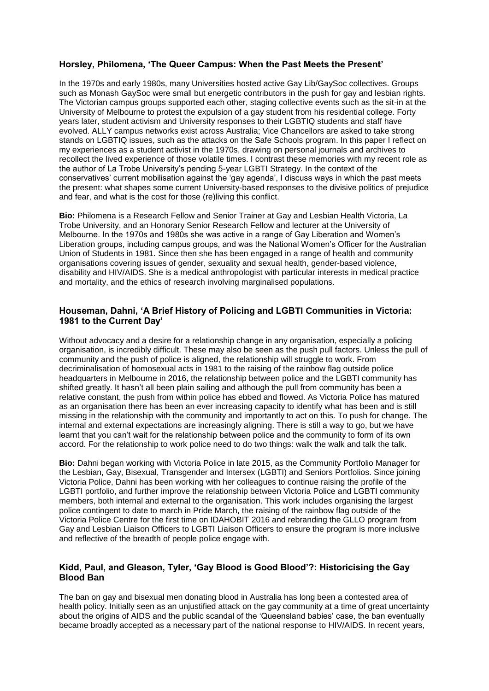# **Horsley, Philomena, 'The Queer Campus: When the Past Meets the Present'**

In the 1970s and early 1980s, many Universities hosted active Gay Lib/GaySoc collectives. Groups such as Monash GaySoc were small but energetic contributors in the push for gay and lesbian rights. The Victorian campus groups supported each other, staging collective events such as the sit-in at the University of Melbourne to protest the expulsion of a gay student from his residential college. Forty years later, student activism and University responses to their LGBTIQ students and staff have evolved. ALLY campus networks exist across Australia; Vice Chancellors are asked to take strong stands on LGBTIQ issues, such as the attacks on the Safe Schools program. In this paper I reflect on my experiences as a student activist in the 1970s, drawing on personal journals and archives to recollect the lived experience of those volatile times. I contrast these memories with my recent role as the author of La Trobe University's pending 5-year LGBTI Strategy. In the context of the conservatives' current mobilisation against the 'gay agenda', I discuss ways in which the past meets the present: what shapes some current University-based responses to the divisive politics of prejudice and fear, and what is the cost for those (re)living this conflict.

**Bio:** Philomena is a Research Fellow and Senior Trainer at Gay and Lesbian Health Victoria, La Trobe University, and an Honorary Senior Research Fellow and lecturer at the University of Melbourne. In the 1970s and 1980s she was active in a range of Gay Liberation and Women's Liberation groups, including campus groups, and was the National Women's Officer for the Australian Union of Students in 1981. Since then she has been engaged in a range of health and community organisations covering issues of gender, sexuality and sexual health, gender-based violence, disability and HIV/AIDS. She is a medical anthropologist with particular interests in medical practice and mortality, and the ethics of research involving marginalised populations.

# **Houseman, Dahni, 'A Brief History of Policing and LGBTI Communities in Victoria: 1981 to the Current Day'**

Without advocacy and a desire for a relationship change in any organisation, especially a policing organisation, is incredibly difficult. These may also be seen as the push pull factors. Unless the pull of community and the push of police is aligned, the relationship will struggle to work. From decriminalisation of homosexual acts in 1981 to the raising of the rainbow flag outside police headquarters in Melbourne in 2016, the relationship between police and the LGBTI community has shifted greatly. It hasn't all been plain sailing and although the pull from community has been a relative constant, the push from within police has ebbed and flowed. As Victoria Police has matured as an organisation there has been an ever increasing capacity to identify what has been and is still missing in the relationship with the community and importantly to act on this. To push for change. The internal and external expectations are increasingly aligning. There is still a way to go, but we have learnt that you can't wait for the relationship between police and the community to form of its own accord. For the relationship to work police need to do two things: walk the walk and talk the talk.

**Bio:** Dahni began working with Victoria Police in late 2015, as the Community Portfolio Manager for the Lesbian, Gay, Bisexual, Transgender and Intersex (LGBTI) and Seniors Portfolios. Since joining Victoria Police, Dahni has been working with her colleagues to continue raising the profile of the LGBTI portfolio, and further improve the relationship between Victoria Police and LGBTI community members, both internal and external to the organisation. This work includes organising the largest police contingent to date to march in Pride March, the raising of the rainbow flag outside of the Victoria Police Centre for the first time on IDAHOBIT 2016 and rebranding the GLLO program from Gay and Lesbian Liaison Officers to LGBTI Liaison Officers to ensure the program is more inclusive and reflective of the breadth of people police engage with.

# **Kidd, Paul, and Gleason, Tyler, 'Gay Blood is Good Blood'?: Historicising the Gay Blood Ban**

The ban on gay and bisexual men donating blood in Australia has long been a contested area of health policy. Initially seen as an unjustified attack on the gay community at a time of great uncertainty about the origins of AIDS and the public scandal of the 'Queensland babies' case, the ban eventually became broadly accepted as a necessary part of the national response to HIV/AIDS. In recent years,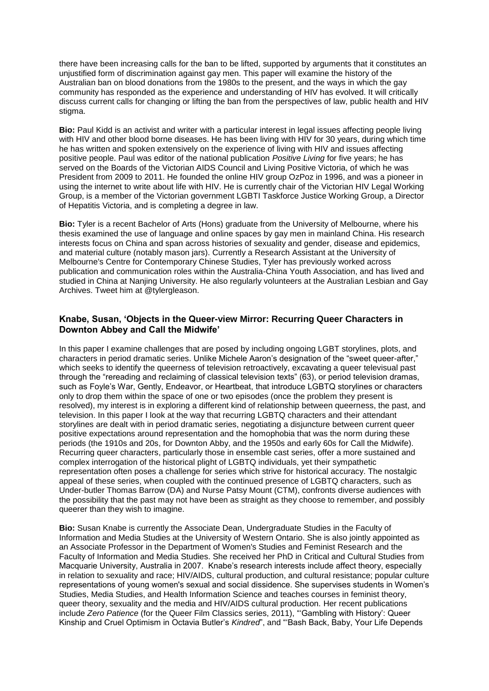there have been increasing calls for the ban to be lifted, supported by arguments that it constitutes an unjustified form of discrimination against gay men. This paper will examine the history of the Australian ban on blood donations from the 1980s to the present, and the ways in which the gay community has responded as the experience and understanding of HIV has evolved. It will critically discuss current calls for changing or lifting the ban from the perspectives of law, public health and HIV stigma.

**Bio:** Paul Kidd is an activist and writer with a particular interest in legal issues affecting people living with HIV and other blood borne diseases. He has been living with HIV for 30 years, during which time he has written and spoken extensively on the experience of living with HIV and issues affecting positive people. Paul was editor of the national publication *Positive Living* for five years; he has served on the Boards of the Victorian AIDS Council and Living Positive Victoria, of which he was President from 2009 to 2011. He founded the online HIV group OzPoz in 1996, and was a pioneer in using the internet to write about life with HIV. He is currently chair of the Victorian HIV Legal Working Group, is a member of the Victorian government LGBTI Taskforce Justice Working Group, a Director of Hepatitis Victoria, and is completing a degree in law.

**Bio:** Tyler is a recent Bachelor of Arts (Hons) graduate from the University of Melbourne, where his thesis examined the use of language and online spaces by gay men in mainland China. His research interests focus on China and span across histories of sexuality and gender, disease and epidemics, and material culture (notably mason jars). Currently a Research Assistant at the University of Melbourne's Centre for Contemporary Chinese Studies, Tyler has previously worked across publication and communication roles within the Australia-China Youth Association, and has lived and studied in China at Nanjing University. He also regularly volunteers at the Australian Lesbian and Gay Archives. Tweet him at @tylergleason.

#### **Knabe, Susan, 'Objects in the Queer-view Mirror: Recurring Queer Characters in Downton Abbey and Call the Midwife'**

In this paper I examine challenges that are posed by including ongoing LGBT storylines, plots, and characters in period dramatic series. Unlike Michele Aaron's designation of the "sweet queer-after," which seeks to identify the queerness of television retroactively, excavating a queer televisual past through the "rereading and reclaiming of classical television texts" (63), or period television dramas, such as Foyle's War, Gently, Endeavor, or Heartbeat, that introduce LGBTQ storylines or characters only to drop them within the space of one or two episodes (once the problem they present is resolved), my interest is in exploring a different kind of relationship between queerness, the past, and television. In this paper I look at the way that recurring LGBTQ characters and their attendant storylines are dealt with in period dramatic series, negotiating a disjuncture between current queer positive expectations around representation and the homophobia that was the norm during these periods (the 1910s and 20s, for Downton Abby, and the 1950s and early 60s for Call the Midwife). Recurring queer characters, particularly those in ensemble cast series, offer a more sustained and complex interrogation of the historical plight of LGBTQ individuals, yet their sympathetic representation often poses a challenge for series which strive for historical accuracy. The nostalgic appeal of these series, when coupled with the continued presence of LGBTQ characters, such as Under-butler Thomas Barrow (DA) and Nurse Patsy Mount (CTM), confronts diverse audiences with the possibility that the past may not have been as straight as they choose to remember, and possibly queerer than they wish to imagine.

**Bio:** Susan Knabe is currently the Associate Dean, Undergraduate Studies in the Faculty of Information and Media Studies at the University of Western Ontario. She is also jointly appointed as an Associate Professor in the Department of Women's Studies and Feminist Research and the Faculty of Information and Media Studies. She received her PhD in Critical and Cultural Studies from Macquarie University, Australia in 2007. Knabe's research interests include affect theory, especially in relation to sexuality and race; HIV/AIDS, cultural production, and cultural resistance; popular culture representations of young women's sexual and social dissidence. She supervises students in Women's Studies, Media Studies, and Health Information Science and teaches courses in feminist theory, queer theory, sexuality and the media and HIV/AIDS cultural production. Her recent publications include *Zero Patience* (for the Queer Film Classics series, 2011), "'Gambling with History': Queer Kinship and Cruel Optimism in Octavia Butler's *Kindred*", and "'Bash Back, Baby, Your Life Depends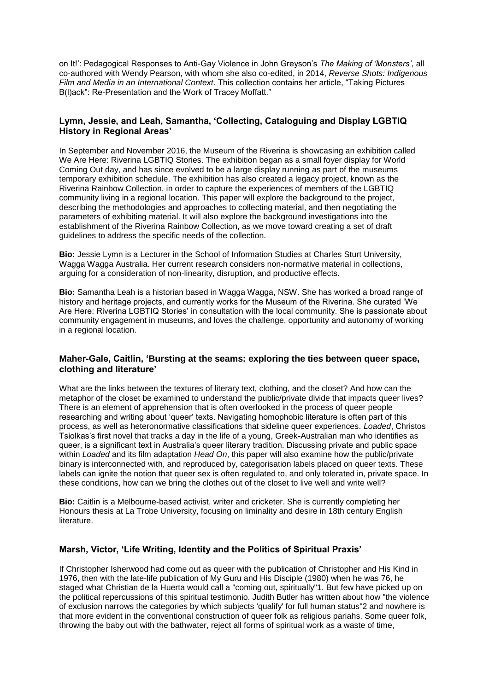on It!': Pedagogical Responses to Anti-Gay Violence in John Greyson's *The Making of 'Monsters'*, all co-authored with Wendy Pearson, with whom she also co-edited, in 2014, *Reverse Shots: Indigenous Film and Media in an International Context*. This collection contains her article, "Taking Pictures B(l)ack": Re-Presentation and the Work of Tracey Moffatt."

## **Lymn, Jessie, and Leah, Samantha, 'Collecting, Cataloguing and Display LGBTIQ History in Regional Areas'**

In September and November 2016, the Museum of the Riverina is showcasing an exhibition called We Are Here: Riverina LGBTIQ Stories. The exhibition began as a small foyer display for World Coming Out day, and has since evolved to be a large display running as part of the museums temporary exhibition schedule. The exhibition has also created a legacy project, known as the Riverina Rainbow Collection, in order to capture the experiences of members of the LGBTIQ community living in a regional location. This paper will explore the background to the project, describing the methodologies and approaches to collecting material, and then negotiating the parameters of exhibiting material. It will also explore the background investigations into the establishment of the Riverina Rainbow Collection, as we move toward creating a set of draft guidelines to address the specific needs of the collection.

**Bio:** Jessie Lymn is a Lecturer in the School of Information Studies at Charles Sturt University, Wagga Wagga Australia. Her current research considers non-normative material in collections, arguing for a consideration of non-linearity, disruption, and productive effects.

**Bio:** Samantha Leah is a historian based in Wagga Wagga, NSW. She has worked a broad range of history and heritage projects, and currently works for the Museum of the Riverina. She curated 'We Are Here: Riverina LGBTIQ Stories' in consultation with the local community. She is passionate about community engagement in museums, and loves the challenge, opportunity and autonomy of working in a regional location.

#### **Maher-Gale, Caitlin, 'Bursting at the seams: exploring the ties between queer space, clothing and literature'**

What are the links between the textures of literary text, clothing, and the closet? And how can the metaphor of the closet be examined to understand the public/private divide that impacts queer lives? There is an element of apprehension that is often overlooked in the process of queer people researching and writing about 'queer' texts. Navigating homophobic literature is often part of this process, as well as heteronormative classifications that sideline queer experiences. *Loaded*, Christos Tsiolkas's first novel that tracks a day in the life of a young, Greek-Australian man who identifies as queer, is a significant text in Australia's queer literary tradition. Discussing private and public space within *Loaded* and its film adaptation *Head On*, this paper will also examine how the public/private binary is interconnected with, and reproduced by, categorisation labels placed on queer texts. These labels can ignite the notion that queer sex is often regulated to, and only tolerated in, private space. In these conditions, how can we bring the clothes out of the closet to live well and write well?

**Bio:** Caitlin is a Melbourne-based activist, writer and cricketer. She is currently completing her Honours thesis at La Trobe University, focusing on liminality and desire in 18th century English literature.

#### **Marsh, Victor, 'Life Writing, Identity and the Politics of Spiritual Praxis'**

If Christopher Isherwood had come out as queer with the publication of Christopher and His Kind in 1976, then with the late-life publication of My Guru and His Disciple (1980) when he was 76, he staged what Christian de la Huerta would call a "coming out, spiritually"1. But few have picked up on the political repercussions of this spiritual testimonio. Judith Butler has written about how "the violence of exclusion narrows the categories by which subjects 'qualify' for full human status"2 and nowhere is that more evident in the conventional construction of queer folk as religious pariahs. Some queer folk, throwing the baby out with the bathwater, reject all forms of spiritual work as a waste of time,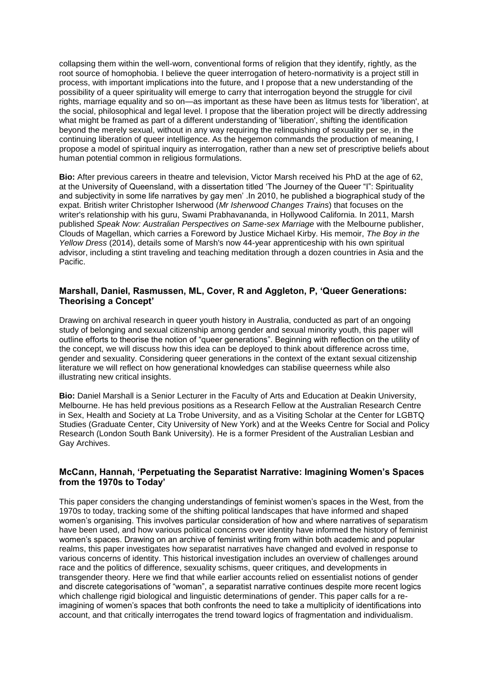collapsing them within the well-worn, conventional forms of religion that they identify, rightly, as the root source of homophobia. I believe the queer interrogation of hetero-normativity is a project still in process, with important implications into the future, and I propose that a new understanding of the possibility of a queer spirituality will emerge to carry that interrogation beyond the struggle for civil rights, marriage equality and so on—as important as these have been as litmus tests for 'liberation', at the social, philosophical and legal level. I propose that the liberation project will be directly addressing what might be framed as part of a different understanding of 'liberation', shifting the identification beyond the merely sexual, without in any way requiring the relinquishing of sexuality per se, in the continuing liberation of queer intelligence. As the hegemon commands the production of meaning, I propose a model of spiritual inquiry as interrogation, rather than a new set of prescriptive beliefs about human potential common in religious formulations.

**Bio:** After previous careers in theatre and television, Victor Marsh received his PhD at the age of 62, at the University of Queensland, with a dissertation titled 'The Journey of the Queer "I": Spirituality and subjectivity in some life narratives by gay men' .In 2010, he published a biographical study of the expat. British writer Christopher Isherwood (*Mr Isherwood Changes Trains*) that focuses on the writer's relationship with his guru, Swami Prabhavananda, in Hollywood California. In 2011, Marsh published *Speak Now: Australian Perspectives on Same-sex Marriage* with the Melbourne publisher, Clouds of Magellan, which carries a Foreword by Justice Michael Kirby. His memoir, *The Boy in the Yellow Dress* (2014), details some of Marsh's now 44-year apprenticeship with his own spiritual advisor, including a stint traveling and teaching meditation through a dozen countries in Asia and the Pacific.

# **Marshall, Daniel, Rasmussen, ML, Cover, R and Aggleton, P, 'Queer Generations: Theorising a Concept'**

Drawing on archival research in queer youth history in Australia, conducted as part of an ongoing study of belonging and sexual citizenship among gender and sexual minority youth, this paper will outline efforts to theorise the notion of "queer generations". Beginning with reflection on the utility of the concept, we will discuss how this idea can be deployed to think about difference across time, gender and sexuality. Considering queer generations in the context of the extant sexual citizenship literature we will reflect on how generational knowledges can stabilise queerness while also illustrating new critical insights.

**Bio:** Daniel Marshall is a Senior Lecturer in the Faculty of Arts and Education at Deakin University, Melbourne. He has held previous positions as a Research Fellow at the Australian Research Centre in Sex, Health and Society at La Trobe University, and as a Visiting Scholar at the Center for LGBTQ Studies (Graduate Center, City University of New York) and at the Weeks Centre for Social and Policy Research (London South Bank University). He is a former President of the Australian Lesbian and Gay Archives.

#### **McCann, Hannah, 'Perpetuating the Separatist Narrative: Imagining Women's Spaces from the 1970s to Today'**

This paper considers the changing understandings of feminist women's spaces in the West, from the 1970s to today, tracking some of the shifting political landscapes that have informed and shaped women's organising. This involves particular consideration of how and where narratives of separatism have been used, and how various political concerns over identity have informed the history of feminist women's spaces. Drawing on an archive of feminist writing from within both academic and popular realms, this paper investigates how separatist narratives have changed and evolved in response to various concerns of identity. This historical investigation includes an overview of challenges around race and the politics of difference, sexuality schisms, queer critiques, and developments in transgender theory. Here we find that while earlier accounts relied on essentialist notions of gender and discrete categorisations of "woman", a separatist narrative continues despite more recent logics which challenge rigid biological and linguistic determinations of gender. This paper calls for a reimagining of women's spaces that both confronts the need to take a multiplicity of identifications into account, and that critically interrogates the trend toward logics of fragmentation and individualism.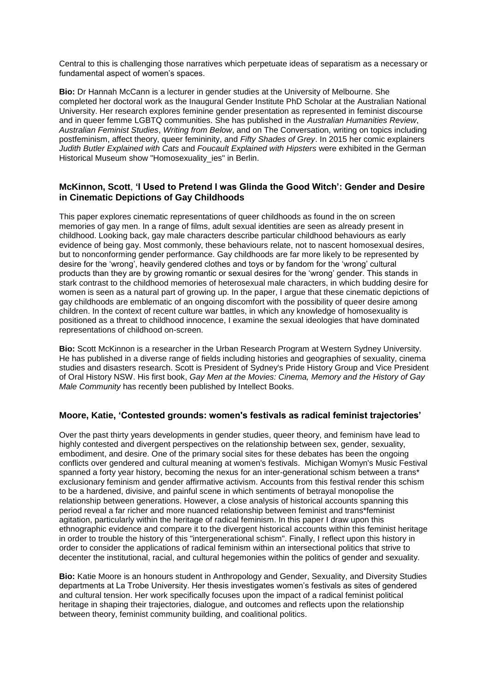Central to this is challenging those narratives which perpetuate ideas of separatism as a necessary or fundamental aspect of women's spaces.

**Bio:** Dr Hannah McCann is a lecturer in gender studies at the University of Melbourne. She completed her doctoral work as the Inaugural Gender Institute PhD Scholar at the Australian National University. Her research explores feminine gender presentation as represented in feminist discourse and in queer femme LGBTQ communities. She has published in the *Australian Humanities Review*, *Australian Feminist Studies*, *Writing from Below*, and on The Conversation, writing on topics including postfeminism, affect theory, queer femininity, and *Fifty Shades of Grey*. In 2015 her comic explainers *Judith Butler Explained with Cats* and *Foucault Explained with Hipsters* were exhibited in the German Historical Museum show "Homosexuality ies" in Berlin.

## **McKinnon, Scott**, **'I Used to Pretend I was Glinda the Good Witch': Gender and Desire in Cinematic Depictions of Gay Childhoods**

This paper explores cinematic representations of queer childhoods as found in the on screen memories of gay men. In a range of films, adult sexual identities are seen as already present in childhood. Looking back, gay male characters describe particular childhood behaviours as early evidence of being gay. Most commonly, these behaviours relate, not to nascent homosexual desires, but to nonconforming gender performance. Gay childhoods are far more likely to be represented by desire for the 'wrong', heavily gendered clothes and toys or by fandom for the 'wrong' cultural products than they are by growing romantic or sexual desires for the 'wrong' gender. This stands in stark contrast to the childhood memories of heterosexual male characters, in which budding desire for women is seen as a natural part of growing up. In the paper, I argue that these cinematic depictions of gay childhoods are emblematic of an ongoing discomfort with the possibility of queer desire among children. In the context of recent culture war battles, in which any knowledge of homosexuality is positioned as a threat to childhood innocence, I examine the sexual ideologies that have dominated representations of childhood on-screen.

**Bio:** Scott McKinnon is a researcher in the Urban Research Program at Western Sydney University. He has published in a diverse range of fields including histories and geographies of sexuality, cinema studies and disasters research. Scott is President of Sydney's Pride History Group and Vice President of Oral History NSW. His first book, *Gay Men at the Movies: Cinema, Memory and the History of Gay Male Community* has recently been published by Intellect Books.

#### **Moore, Katie, 'Contested grounds: women's festivals as radical feminist trajectories'**

Over the past thirty years developments in gender studies, queer theory, and feminism have lead to highly contested and divergent perspectives on the relationship between sex, gender, sexuality, embodiment, and desire. One of the primary social sites for these debates has been the ongoing conflicts over gendered and cultural meaning at women's festivals. Michigan Womyn's Music Festival spanned a forty year history, becoming the nexus for an inter-generational schism between a trans\* exclusionary feminism and gender affirmative activism. Accounts from this festival render this schism to be a hardened, divisive, and painful scene in which sentiments of betrayal monopolise the relationship between generations. However, a close analysis of historical accounts spanning this period reveal a far richer and more nuanced relationship between feminist and trans\*feminist agitation, particularly within the heritage of radical feminism. In this paper I draw upon this ethnographic evidence and compare it to the divergent historical accounts within this feminist heritage in order to trouble the history of this "intergenerational schism". Finally, I reflect upon this history in order to consider the applications of radical feminism within an intersectional politics that strive to decenter the institutional, racial, and cultural hegemonies within the politics of gender and sexuality.

**Bio:** Katie Moore is an honours student in Anthropology and Gender, Sexuality, and Diversity Studies departments at La Trobe University. Her thesis investigates women's festivals as sites of gendered and cultural tension. Her work specifically focuses upon the impact of a radical feminist political heritage in shaping their trajectories, dialogue, and outcomes and reflects upon the relationship between theory, feminist community building, and coalitional politics.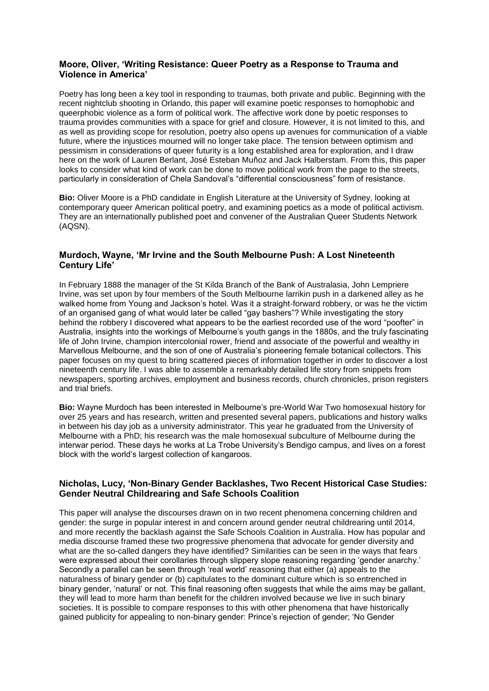# **Moore, Oliver, 'Writing Resistance: Queer Poetry as a Response to Trauma and Violence in America'**

Poetry has long been a key tool in responding to traumas, both private and public. Beginning with the recent nightclub shooting in Orlando, this paper will examine poetic responses to homophobic and queerphobic violence as a form of political work. The affective work done by poetic responses to trauma provides communities with a space for grief and closure. However, it is not limited to this, and as well as providing scope for resolution, poetry also opens up avenues for communication of a viable future, where the injustices mourned will no longer take place. The tension between optimism and pessimism in considerations of queer futurity is a long established area for exploration, and I draw here on the work of Lauren Berlant, José Esteban Muñoz and Jack Halberstam. From this, this paper looks to consider what kind of work can be done to move political work from the page to the streets, particularly in consideration of Chela Sandoval's "differential consciousness" form of resistance.

**Bio:** Oliver Moore is a PhD candidate in English Literature at the University of Sydney, looking at contemporary queer American political poetry, and examining poetics as a mode of political activism. They are an internationally published poet and convener of the Australian Queer Students Network (AQSN).

# **Murdoch, Wayne, 'Mr Irvine and the South Melbourne Push: A Lost Nineteenth Century Life'**

In February 1888 the manager of the St Kilda Branch of the Bank of Australasia, John Lempriere Irvine, was set upon by four members of the South Melbourne larrikin push in a darkened alley as he walked home from Young and Jackson's hotel. Was it a straight-forward robbery, or was he the victim of an organised gang of what would later be called "gay bashers"? While investigating the story behind the robbery I discovered what appears to be the earliest recorded use of the word "poofter" in Australia, insights into the workings of Melbourne's youth gangs in the 1880s, and the truly fascinating life of John Irvine, champion intercolonial rower, friend and associate of the powerful and wealthy in Marvellous Melbourne, and the son of one of Australia's pioneering female botanical collectors. This paper focuses on my quest to bring scattered pieces of information together in order to discover a lost nineteenth century life. I was able to assemble a remarkably detailed life story from snippets from newspapers, sporting archives, employment and business records, church chronicles, prison registers and trial briefs.

**Bio:** Wayne Murdoch has been interested in Melbourne's pre-World War Two homosexual history for over 25 years and has research, written and presented several papers, publications and history walks in between his day job as a university administrator. This year he graduated from the University of Melbourne with a PhD; his research was the male homosexual subculture of Melbourne during the interwar period. These days he works at La Trobe University's Bendigo campus, and lives on a forest block with the world's largest collection of kangaroos.

#### **Nicholas, Lucy, 'Non-Binary Gender Backlashes, Two Recent Historical Case Studies: Gender Neutral Childrearing and Safe Schools Coalition**

This paper will analyse the discourses drawn on in two recent phenomena concerning children and gender: the surge in popular interest in and concern around gender neutral childrearing until 2014, and more recently the backlash against the Safe Schools Coalition in Australia. How has popular and media discourse framed these two progressive phenomena that advocate for gender diversity and what are the so-called dangers they have identified? Similarities can be seen in the ways that fears were expressed about their corollaries through slippery slope reasoning regarding 'gender anarchy.' Secondly a parallel can be seen through 'real world' reasoning that either (a) appeals to the naturalness of binary gender or (b) capitulates to the dominant culture which is so entrenched in binary gender, 'natural' or not. This final reasoning often suggests that while the aims may be gallant, they will lead to more harm than benefit for the children involved because we live in such binary societies. It is possible to compare responses to this with other phenomena that have historically gained publicity for appealing to non-binary gender: Prince's rejection of gender; 'No Gender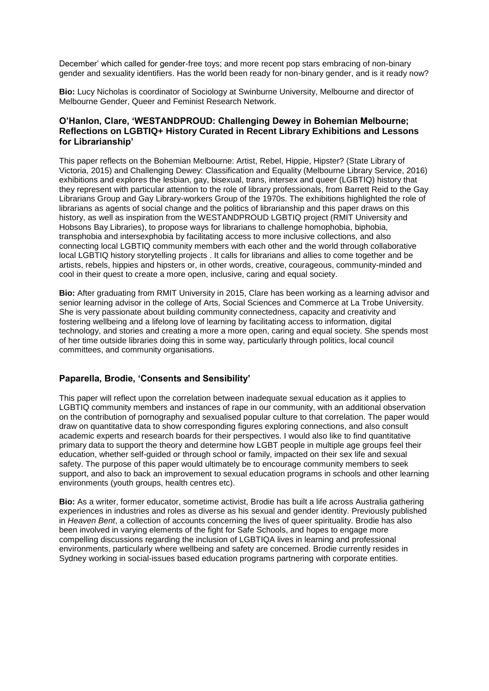December' which called for gender-free toys; and more recent pop stars embracing of non-binary gender and sexuality identifiers. Has the world been ready for non-binary gender, and is it ready now?

**Bio:** Lucy Nicholas is coordinator of Sociology at Swinburne University, Melbourne and director of Melbourne Gender, Queer and Feminist Research Network.

# **O'Hanlon, Clare, 'WESTANDPROUD: Challenging Dewey in Bohemian Melbourne; Reflections on LGBTIQ+ History Curated in Recent Library Exhibitions and Lessons for Librarianship'**

This paper reflects on the Bohemian Melbourne: Artist, Rebel, Hippie, Hipster? (State Library of Victoria, 2015) and Challenging Dewey: Classification and Equality (Melbourne Library Service, 2016) exhibitions and explores the lesbian, gay, bisexual, trans, intersex and queer (LGBTIQ) history that they represent with particular attention to the role of library professionals, from Barrett Reid to the Gay Librarians Group and Gay Library-workers Group of the 1970s. The exhibitions highlighted the role of librarians as agents of social change and the politics of librarianship and this paper draws on this history, as well as inspiration from the WESTANDPROUD LGBTIQ project (RMIT University and Hobsons Bay Libraries), to propose ways for librarians to challenge homophobia, biphobia, transphobia and intersexphobia by facilitating access to more inclusive collections, and also connecting local LGBTIQ community members with each other and the world through collaborative local LGBTIQ history storytelling projects . It calls for librarians and allies to come together and be artists, rebels, hippies and hipsters or, in other words, creative, courageous, community-minded and cool in their quest to create a more open, inclusive, caring and equal society.

**Bio:** After graduating from RMIT University in 2015, Clare has been working as a learning advisor and senior learning advisor in the college of Arts, Social Sciences and Commerce at La Trobe University. She is very passionate about building community connectedness, capacity and creativity and fostering wellbeing and a lifelong love of learning by facilitating access to information, digital technology, and stories and creating a more a more open, caring and equal society. She spends most of her time outside libraries doing this in some way, particularly through politics, local council committees, and community organisations.

# **Paparella, Brodie, 'Consents and Sensibility'**

This paper will reflect upon the correlation between inadequate sexual education as it applies to LGBTIQ community members and instances of rape in our community, with an additional observation on the contribution of pornography and sexualised popular culture to that correlation. The paper would draw on quantitative data to show corresponding figures exploring connections, and also consult academic experts and research boards for their perspectives. I would also like to find quantitative primary data to support the theory and determine how LGBT people in multiple age groups feel their education, whether self-guided or through school or family, impacted on their sex life and sexual safety. The purpose of this paper would ultimately be to encourage community members to seek support, and also to back an improvement to sexual education programs in schools and other learning environments (youth groups, health centres etc).

**Bio:** As a writer, former educator, sometime activist, Brodie has built a life across Australia gathering experiences in industries and roles as diverse as his sexual and gender identity. Previously published in *Heaven Bent*, a collection of accounts concerning the lives of queer spirituality. Brodie has also been involved in varying elements of the fight for Safe Schools, and hopes to engage more compelling discussions regarding the inclusion of LGBTIQA lives in learning and professional environments, particularly where wellbeing and safety are concerned. Brodie currently resides in Sydney working in social-issues based education programs partnering with corporate entities.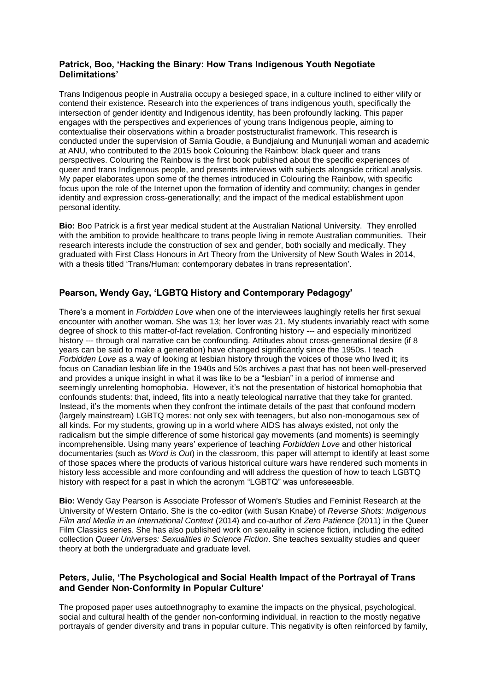# **Patrick, Boo, 'Hacking the Binary: How Trans Indigenous Youth Negotiate Delimitations'**

Trans Indigenous people in Australia occupy a besieged space, in a culture inclined to either vilify or contend their existence. Research into the experiences of trans indigenous youth, specifically the intersection of gender identity and Indigenous identity, has been profoundly lacking. This paper engages with the perspectives and experiences of young trans Indigenous people, aiming to contextualise their observations within a broader poststructuralist framework. This research is conducted under the supervision of Samia Goudie, a Bundjalung and Mununjali woman and academic at ANU, who contributed to the 2015 book Colouring the Rainbow: black queer and trans perspectives. Colouring the Rainbow is the first book published about the specific experiences of queer and trans Indigenous people, and presents interviews with subjects alongside critical analysis. My paper elaborates upon some of the themes introduced in Colouring the Rainbow, with specific focus upon the role of the Internet upon the formation of identity and community; changes in gender identity and expression cross-generationally; and the impact of the medical establishment upon personal identity.

**Bio:** Boo Patrick is a first year medical student at the Australian National University. They enrolled with the ambition to provide healthcare to trans people living in remote Australian communities. Their research interests include the construction of sex and gender, both socially and medically. They graduated with First Class Honours in Art Theory from the University of New South Wales in 2014, with a thesis titled 'Trans/Human: contemporary debates in trans representation'.

# **Pearson, Wendy Gay, 'LGBTQ History and Contemporary Pedagogy'**

There's a moment in *Forbidden Love* when one of the interviewees laughingly retells her first sexual encounter with another woman. She was 13; her lover was 21. My students invariably react with some degree of shock to this matter-of-fact revelation. Confronting history --- and especially minoritized history --- through oral narrative can be confounding. Attitudes about cross-generational desire (if 8 years can be said to make a generation) have changed significantly since the 1950s. I teach *Forbidden Love* as a way of looking at lesbian history through the voices of those who lived it; its focus on Canadian lesbian life in the 1940s and 50s archives a past that has not been well-preserved and provides a unique insight in what it was like to be a "lesbian" in a period of immense and seemingly unrelenting homophobia. However, it's not the presentation of historical homophobia that confounds students: that, indeed, fits into a neatly teleological narrative that they take for granted. Instead, it's the moments when they confront the intimate details of the past that confound modern (largely mainstream) LGBTQ mores: not only sex with teenagers, but also non-monogamous sex of all kinds. For my students, growing up in a world where AIDS has always existed, not only the radicalism but the simple difference of some historical gay movements (and moments) is seemingly incomprehensible. Using many years' experience of teaching *Forbidden Love* and other historical documentaries (such as *Word is Out*) in the classroom, this paper will attempt to identify at least some of those spaces where the products of various historical culture wars have rendered such moments in history less accessible and more confounding and will address the question of how to teach LGBTQ history with respect for a past in which the acronym "LGBTQ" was unforeseeable.

**Bio:** Wendy Gay Pearson is Associate Professor of Women's Studies and Feminist Research at the University of Western Ontario. She is the co‐editor (with Susan Knabe) of *Reverse Shots: Indigenous Film and Media in an International Context* (2014) and co-author of *Zero Patience* (2011) in the Queer Film Classics series. She has also published work on sexuality in science fiction, including the edited collection *Queer Universes: Sexualities in Science Fiction*. She teaches sexuality studies and queer theory at both the undergraduate and graduate level.

# **Peters, Julie, 'The Psychological and Social Health Impact of the Portrayal of Trans and Gender Non-Conformity in Popular Culture'**

The proposed paper uses autoethnography to examine the impacts on the physical, psychological, social and cultural health of the gender non-conforming individual, in reaction to the mostly negative portrayals of gender diversity and trans in popular culture. This negativity is often reinforced by family,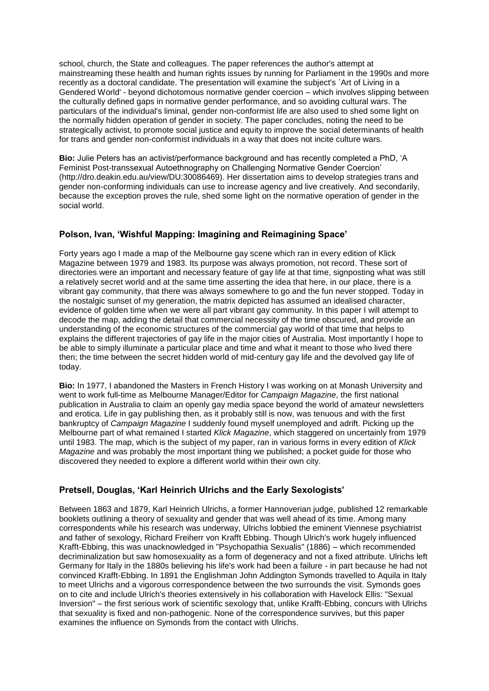school, church, the State and colleagues. The paper references the author's attempt at mainstreaming these health and human rights issues by running for Parliament in the 1990s and more recently as a doctoral candidate. The presentation will examine the subject's `Art of Living in a Gendered World' - beyond dichotomous normative gender coercion – which involves slipping between the culturally defined gaps in normative gender performance, and so avoiding cultural wars. The particulars of the individual's liminal, gender non-conformist life are also used to shed some light on the normally hidden operation of gender in society. The paper concludes, noting the need to be strategically activist, to promote social justice and equity to improve the social determinants of health for trans and gender non-conformist individuals in a way that does not incite culture wars.

**Bio:** Julie Peters has an activist/performance background and has recently completed a PhD, 'A Feminist Post-transsexual Autoethnography on Challenging Normative Gender Coercion' (http://dro.deakin.edu.au/view/DU:30086469). Her dissertation aims to develop strategies trans and gender non-conforming individuals can use to increase agency and live creatively. And secondarily, because the exception proves the rule, shed some light on the normative operation of gender in the social world.

# **Polson, Ivan, 'Wishful Mapping: Imagining and Reimagining Space'**

Forty years ago I made a map of the Melbourne gay scene which ran in every edition of Klick Magazine between 1979 and 1983. Its purpose was always promotion, not record. These sort of directories were an important and necessary feature of gay life at that time, signposting what was still a relatively secret world and at the same time asserting the idea that here, in our place, there is a vibrant gay community, that there was always somewhere to go and the fun never stopped. Today in the nostalgic sunset of my generation, the matrix depicted has assumed an idealised character, evidence of golden time when we were all part vibrant gay community. In this paper I will attempt to decode the map, adding the detail that commercial necessity of the time obscured, and provide an understanding of the economic structures of the commercial gay world of that time that helps to explains the different trajectories of gay life in the major cities of Australia. Most importantly I hope to be able to simply illuminate a particular place and time and what it meant to those who lived there then; the time between the secret hidden world of mid-century gay life and the devolved gay life of today.

**Bio:** In 1977, I abandoned the Masters in French History I was working on at Monash University and went to work full-time as Melbourne Manager/Editor for *Campaign Magazine*, the first national publication in Australia to claim an openly gay media space beyond the world of amateur newsletters and erotica. Life in gay publishing then, as it probably still is now, was tenuous and with the first bankruptcy of *Campaign Magazine* I suddenly found myself unemployed and adrift. Picking up the Melbourne part of what remained I started *Klick Magazine*, which staggered on uncertainly from 1979 until 1983. The map, which is the subject of my paper, ran in various forms in every edition of *Klick Magazine* and was probably the most important thing we published; a pocket guide for those who discovered they needed to explore a different world within their own city.

# **Pretsell, Douglas, 'Karl Heinrich Ulrichs and the Early Sexologists'**

Between 1863 and 1879, Karl Heinrich Ulrichs, a former Hannoverian judge, published 12 remarkable booklets outlining a theory of sexuality and gender that was well ahead of its time. Among many correspondents while his research was underway, Ulrichs lobbied the eminent Viennese psychiatrist and father of sexology, Richard Freiherr von Krafft Ebbing. Though Ulrich's work hugely influenced Krafft-Ebbing, this was unacknowledged in "Psychopathia Sexualis" (1886) – which recommended decriminalization but saw homosexuality as a form of degeneracy and not a fixed attribute. Ulrichs left Germany for Italy in the 1880s believing his life's work had been a failure - in part because he had not convinced Krafft-Ebbing. In 1891 the Englishman John Addington Symonds travelled to Aquila in Italy to meet Ulrichs and a vigorous correspondence between the two surrounds the visit. Symonds goes on to cite and include Ulrich's theories extensively in his collaboration with Havelock Ellis: "Sexual Inversion" – the first serious work of scientific sexology that, unlike Krafft-Ebbing, concurs with Ulrichs that sexuality is fixed and non-pathogenic. None of the correspondence survives, but this paper examines the influence on Symonds from the contact with Ulrichs.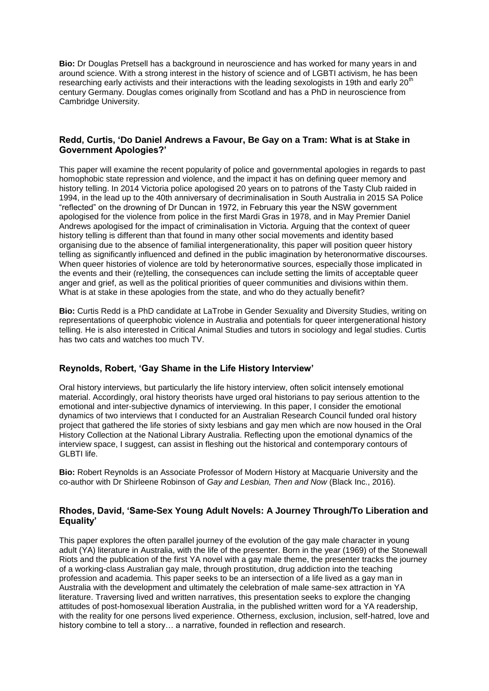**Bio:** Dr Douglas Pretsell has a background in neuroscience and has worked for many years in and around science. With a strong interest in the history of science and of LGBTI activism, he has been researching early activists and their interactions with the leading sexologists in 19th and early  $20<sup>t</sup>$ century Germany. Douglas comes originally from Scotland and has a PhD in neuroscience from Cambridge University.

# **Redd, Curtis, 'Do Daniel Andrews a Favour, Be Gay on a Tram: What is at Stake in Government Apologies?'**

This paper will examine the recent popularity of police and governmental apologies in regards to past homophobic state repression and violence, and the impact it has on defining queer memory and history telling. In 2014 Victoria police apologised 20 years on to patrons of the Tasty Club raided in 1994, in the lead up to the 40th anniversary of decriminalisation in South Australia in 2015 SA Police "reflected" on the drowning of Dr Duncan in 1972, in February this year the NSW government apologised for the violence from police in the first Mardi Gras in 1978, and in May Premier Daniel Andrews apologised for the impact of criminalisation in Victoria. Arguing that the context of queer history telling is different than that found in many other social movements and identity based organising due to the absence of familial intergenerationality, this paper will position queer history telling as significantly influenced and defined in the public imagination by heteronormative discourses. When queer histories of violence are told by heteronormative sources, especially those implicated in the events and their (re)telling, the consequences can include setting the limits of acceptable queer anger and grief, as well as the political priorities of queer communities and divisions within them. What is at stake in these apologies from the state, and who do they actually benefit?

**Bio:** Curtis Redd is a PhD candidate at LaTrobe in Gender Sexuality and Diversity Studies, writing on representations of queerphobic violence in Australia and potentials for queer intergenerational history telling. He is also interested in Critical Animal Studies and tutors in sociology and legal studies. Curtis has two cats and watches too much TV.

#### **Reynolds, Robert, 'Gay Shame in the Life History Interview'**

Oral history interviews, but particularly the life history interview, often solicit intensely emotional material. Accordingly, oral history theorists have urged oral historians to pay serious attention to the emotional and inter-subjective dynamics of interviewing. In this paper, I consider the emotional dynamics of two interviews that I conducted for an Australian Research Council funded oral history project that gathered the life stories of sixty lesbians and gay men which are now housed in the Oral History Collection at the National Library Australia. Reflecting upon the emotional dynamics of the interview space, I suggest, can assist in fleshing out the historical and contemporary contours of GLBTI life.

**Bio:** Robert Reynolds is an Associate Professor of Modern History at Macquarie University and the co-author with Dr Shirleene Robinson of *Gay and Lesbian, Then and Now* (Black Inc., 2016).

# **Rhodes, David, 'Same-Sex Young Adult Novels: A Journey Through/To Liberation and Equality'**

This paper explores the often parallel journey of the evolution of the gay male character in young adult (YA) literature in Australia, with the life of the presenter. Born in the year (1969) of the Stonewall Riots and the publication of the first YA novel with a gay male theme, the presenter tracks the journey of a working-class Australian gay male, through prostitution, drug addiction into the teaching profession and academia. This paper seeks to be an intersection of a life lived as a gay man in Australia with the development and ultimately the celebration of male same-sex attraction in YA literature. Traversing lived and written narratives, this presentation seeks to explore the changing attitudes of post-homosexual liberation Australia, in the published written word for a YA readership, with the reality for one persons lived experience. Otherness, exclusion, inclusion, self-hatred, love and history combine to tell a story… a narrative, founded in reflection and research.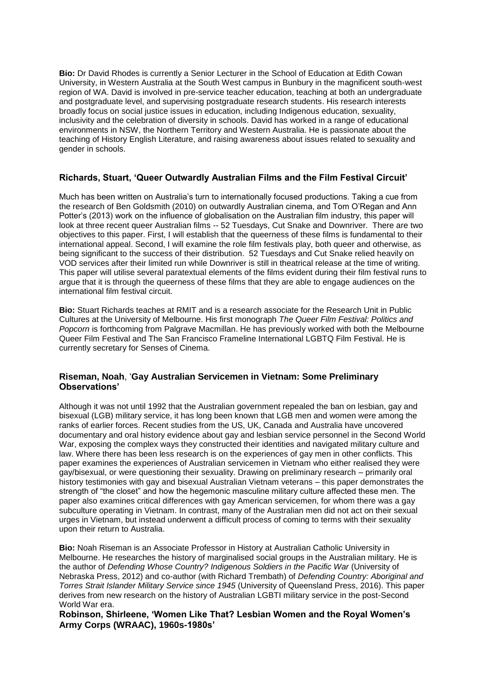**Bio:** Dr David Rhodes is currently a Senior Lecturer in the School of Education at Edith Cowan University, in Western Australia at the South West campus in Bunbury in the magnificent south-west region of WA. David is involved in pre-service teacher education, teaching at both an undergraduate and postgraduate level, and supervising postgraduate research students. His research interests broadly focus on social justice issues in education, including Indigenous education, sexuality, inclusivity and the celebration of diversity in schools. David has worked in a range of educational environments in NSW, the Northern Territory and Western Australia. He is passionate about the teaching of History English Literature, and raising awareness about issues related to sexuality and gender in schools.

# **Richards, Stuart, 'Queer Outwardly Australian Films and the Film Festival Circuit'**

Much has been written on Australia's turn to internationally focused productions. Taking a cue from the research of Ben Goldsmith (2010) on outwardly Australian cinema, and Tom O'Regan and Ann Potter's (2013) work on the influence of globalisation on the Australian film industry, this paper will look at three recent queer Australian films -- 52 Tuesdays, Cut Snake and Downriver. There are two objectives to this paper. First, I will establish that the queerness of these films is fundamental to their international appeal. Second, I will examine the role film festivals play, both queer and otherwise, as being significant to the success of their distribution. 52 Tuesdays and Cut Snake relied heavily on VOD services after their limited run while Downriver is still in theatrical release at the time of writing. This paper will utilise several paratextual elements of the films evident during their film festival runs to argue that it is through the queerness of these films that they are able to engage audiences on the international film festival circuit.

**Bio:** Stuart Richards teaches at RMIT and is a research associate for the Research Unit in Public Cultures at the University of Melbourne. His first monograph *The Queer Film Festival: Politics and Popcorn* is forthcoming from Palgrave Macmillan. He has previously worked with both the Melbourne Queer Film Festival and The San Francisco Frameline International LGBTQ Film Festival. He is currently secretary for Senses of Cinema.

# **Riseman, Noah**, '**Gay Australian Servicemen in Vietnam: Some Preliminary Observations'**

Although it was not until 1992 that the Australian government repealed the ban on lesbian, gay and bisexual (LGB) military service, it has long been known that LGB men and women were among the ranks of earlier forces. Recent studies from the US, UK, Canada and Australia have uncovered documentary and oral history evidence about gay and lesbian service personnel in the Second World War, exposing the complex ways they constructed their identities and navigated military culture and law. Where there has been less research is on the experiences of gay men in other conflicts. This paper examines the experiences of Australian servicemen in Vietnam who either realised they were gay/bisexual, or were questioning their sexuality. Drawing on preliminary research – primarily oral history testimonies with gay and bisexual Australian Vietnam veterans – this paper demonstrates the strength of "the closet" and how the hegemonic masculine military culture affected these men. The paper also examines critical differences with gay American servicemen, for whom there was a gay subculture operating in Vietnam. In contrast, many of the Australian men did not act on their sexual urges in Vietnam, but instead underwent a difficult process of coming to terms with their sexuality upon their return to Australia.

**Bio:** Noah Riseman is an Associate Professor in History at Australian Catholic University in Melbourne. He researches the history of marginalised social groups in the Australian military. He is the author of *Defending Whose Country? Indigenous Soldiers in the Pacific War* (University of Nebraska Press, 2012) and co-author (with Richard Trembath) of *Defending Country: Aboriginal and Torres Strait Islander Military Service since 1945* (University of Queensland Press, 2016). This paper derives from new research on the history of Australian LGBTI military service in the post-Second World War era.

#### **Robinson, Shirleene, 'Women Like That? Lesbian Women and the Royal Women's Army Corps (WRAAC), 1960s-1980s'**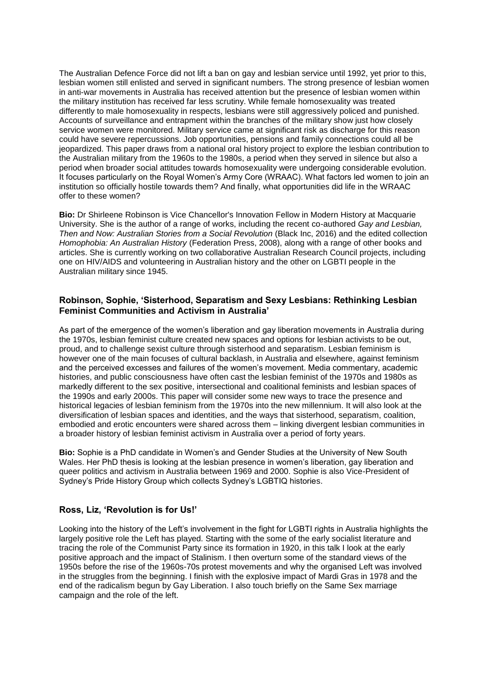The Australian Defence Force did not lift a ban on gay and lesbian service until 1992, yet prior to this, lesbian women still enlisted and served in significant numbers. The strong presence of lesbian women in anti-war movements in Australia has received attention but the presence of lesbian women within the military institution has received far less scrutiny. While female homosexuality was treated differently to male homosexuality in respects, lesbians were still aggressively policed and punished. Accounts of surveillance and entrapment within the branches of the military show just how closely service women were monitored. Military service came at significant risk as discharge for this reason could have severe repercussions. Job opportunities, pensions and family connections could all be jeopardized. This paper draws from a national oral history project to explore the lesbian contribution to the Australian military from the 1960s to the 1980s, a period when they served in silence but also a period when broader social attitudes towards homosexuality were undergoing considerable evolution. It focuses particularly on the Royal Women's Army Core (WRAAC). What factors led women to join an institution so officially hostile towards them? And finally, what opportunities did life in the WRAAC offer to these women?

**Bio:** Dr Shirleene Robinson is Vice Chancellor's Innovation Fellow in Modern History at Macquarie University. She is the author of a range of works, including the recent co-authored *Gay and Lesbian, Then and Now: Australian Stories from a Social Revolution* (Black Inc, 2016) and the edited collection *Homophobia: An Australian History* (Federation Press, 2008), along with a range of other books and articles. She is currently working on two collaborative Australian Research Council projects, including one on HIV/AIDS and volunteering in Australian history and the other on LGBTI people in the Australian military since 1945.

## **Robinson, Sophie, 'Sisterhood, Separatism and Sexy Lesbians: Rethinking Lesbian Feminist Communities and Activism in Australia'**

As part of the emergence of the women's liberation and gay liberation movements in Australia during the 1970s, lesbian feminist culture created new spaces and options for lesbian activists to be out, proud, and to challenge sexist culture through sisterhood and separatism. Lesbian feminism is however one of the main focuses of cultural backlash, in Australia and elsewhere, against feminism and the perceived excesses and failures of the women's movement. Media commentary, academic histories, and public consciousness have often cast the lesbian feminist of the 1970s and 1980s as markedly different to the sex positive, intersectional and coalitional feminists and lesbian spaces of the 1990s and early 2000s. This paper will consider some new ways to trace the presence and historical legacies of lesbian feminism from the 1970s into the new millennium. It will also look at the diversification of lesbian spaces and identities, and the ways that sisterhood, separatism, coalition, embodied and erotic encounters were shared across them – linking divergent lesbian communities in a broader history of lesbian feminist activism in Australia over a period of forty years.

**Bio:** Sophie is a PhD candidate in Women's and Gender Studies at the University of New South Wales. Her PhD thesis is looking at the lesbian presence in women's liberation, gay liberation and queer politics and activism in Australia between 1969 and 2000. Sophie is also Vice-President of Sydney's Pride History Group which collects Sydney's LGBTIQ histories.

#### **Ross, Liz, 'Revolution is for Us!'**

Looking into the history of the Left's involvement in the fight for LGBTI rights in Australia highlights the largely positive role the Left has played. Starting with the some of the early socialist literature and tracing the role of the Communist Party since its formation in 1920, in this talk I look at the early positive approach and the impact of Stalinism. I then overturn some of the standard views of the 1950s before the rise of the 1960s-70s protest movements and why the organised Left was involved in the struggles from the beginning. I finish with the explosive impact of Mardi Gras in 1978 and the end of the radicalism begun by Gay Liberation. I also touch briefly on the Same Sex marriage campaign and the role of the left.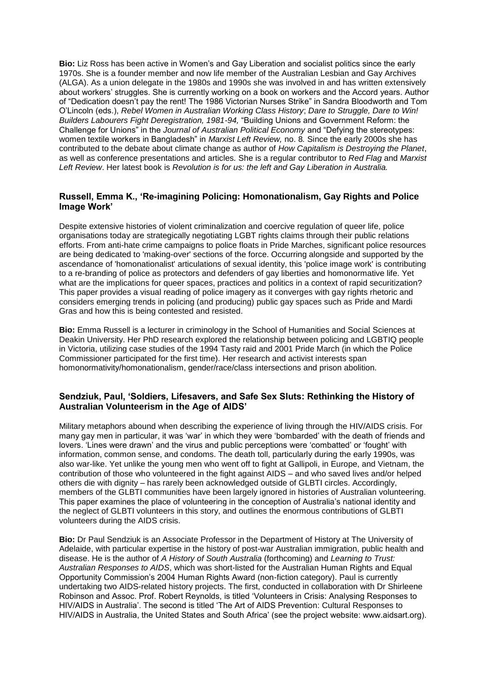**Bio:** Liz Ross has been active in Women's and Gay Liberation and socialist politics since the early 1970s. She is a founder member and now life member of the Australian Lesbian and Gay Archives (ALGA). As a union delegate in the 1980s and 1990s she was involved in and has written extensively about workers' struggles. She is currently working on a book on workers and the Accord years. Author of "Dedication doesn't pay the rent! The 1986 Victorian Nurses Strike" in Sandra Bloodworth and Tom O'Lincoln (eds.), *Rebel Women in Australian Working Class History*; *Dare to Struggle, Dare to Win! Builders Labourers Fight Deregistration, 1981-94,* "Building Unions and Government Reform: the Challenge for Unions" in the *Journal of Australian Political Economy* and "Defying the stereotypes: women textile workers in Bangladesh" in *Marxist Left Review,* no. 8*.* Since the early 2000s she has contributed to the debate about climate change as author of *How Capitalism is Destroying the Planet*, as well as conference presentations and articles*.* She is a regular contributor to *Red Flag* and *Marxist Left Review*. Her latest book is *Revolution is for us: the left and Gay Liberation in Australia.*

# **Russell, Emma K., 'Re-imagining Policing: Homonationalism, Gay Rights and Police Image Work'**

Despite extensive histories of violent criminalization and coercive regulation of queer life, police organisations today are strategically negotiating LGBT rights claims through their public relations efforts. From anti-hate crime campaigns to police floats in Pride Marches, significant police resources are being dedicated to 'making-over' sections of the force. Occurring alongside and supported by the ascendance of 'homonationalist' articulations of sexual identity, this 'police image work' is contributing to a re-branding of police as protectors and defenders of gay liberties and homonormative life. Yet what are the implications for queer spaces, practices and politics in a context of rapid securitization? This paper provides a visual reading of police imagery as it converges with gay rights rhetoric and considers emerging trends in policing (and producing) public gay spaces such as Pride and Mardi Gras and how this is being contested and resisted.

**Bio:** Emma Russell is a lecturer in criminology in the School of Humanities and Social Sciences at Deakin University. Her PhD research explored the relationship between policing and LGBTIQ people in Victoria, utilizing case studies of the 1994 Tasty raid and 2001 Pride March (in which the Police Commissioner participated for the first time). Her research and activist interests span homonormativity/homonationalism, gender/race/class intersections and prison abolition.

# **Sendziuk, Paul, 'Soldiers, Lifesavers, and Safe Sex Sluts: Rethinking the History of Australian Volunteerism in the Age of AIDS'**

Military metaphors abound when describing the experience of living through the HIV/AIDS crisis. For many gay men in particular, it was 'war' in which they were 'bombarded' with the death of friends and lovers. 'Lines were drawn' and the virus and public perceptions were 'combatted' or 'fought' with information, common sense, and condoms. The death toll, particularly during the early 1990s, was also war-like. Yet unlike the young men who went off to fight at Gallipoli, in Europe, and Vietnam, the contribution of those who volunteered in the fight against AIDS – and who saved lives and/or helped others die with dignity – has rarely been acknowledged outside of GLBTI circles. Accordingly, members of the GLBTI communities have been largely ignored in histories of Australian volunteering. This paper examines the place of volunteering in the conception of Australia's national identity and the neglect of GLBTI volunteers in this story, and outlines the enormous contributions of GLBTI volunteers during the AIDS crisis.

**Bio:** Dr Paul Sendziuk is an Associate Professor in the Department of History at The University of Adelaide, with particular expertise in the history of post-war Australian immigration, public health and disease. He is the author of *A History of South Australia* (forthcoming) and *Learning to Trust: Australian Responses to AIDS*, which was short-listed for the Australian Human Rights and Equal Opportunity Commission's 2004 Human Rights Award (non-fiction category). Paul is currently undertaking two AIDS-related history projects. The first, conducted in collaboration with Dr Shirleene Robinson and Assoc. Prof. Robert Reynolds, is titled 'Volunteers in Crisis: Analysing Responses to HIV/AIDS in Australia'. The second is titled 'The Art of AIDS Prevention: Cultural Responses to HIV/AIDS in Australia, the United States and South Africa' (see the project website: www.aidsart.org).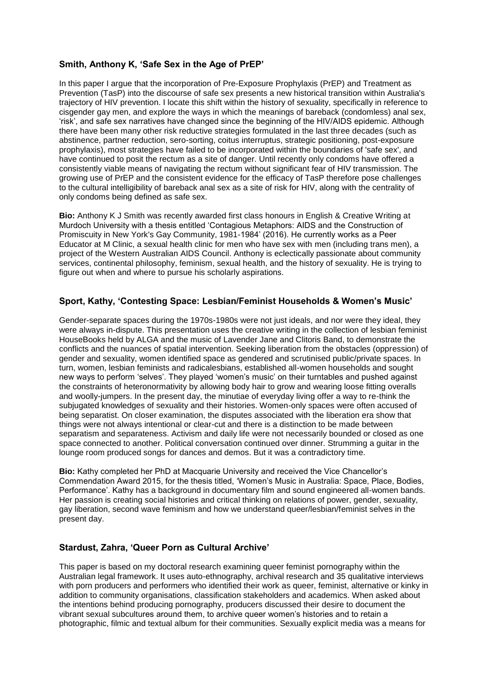# **Smith, Anthony K, 'Safe Sex in the Age of PrEP'**

In this paper I argue that the incorporation of Pre-Exposure Prophylaxis (PrEP) and Treatment as Prevention (TasP) into the discourse of safe sex presents a new historical transition within Australia's trajectory of HIV prevention. I locate this shift within the history of sexuality, specifically in reference to cisgender gay men, and explore the ways in which the meanings of bareback (condomless) anal sex, 'risk', and safe sex narratives have changed since the beginning of the HIV/AIDS epidemic. Although there have been many other risk reductive strategies formulated in the last three decades (such as abstinence, partner reduction, sero-sorting, coitus interruptus, strategic positioning, post-exposure prophylaxis), most strategies have failed to be incorporated within the boundaries of 'safe sex', and have continued to posit the rectum as a site of danger. Until recently only condoms have offered a consistently viable means of navigating the rectum without significant fear of HIV transmission. The growing use of PrEP and the consistent evidence for the efficacy of TasP therefore pose challenges to the cultural intelligibility of bareback anal sex as a site of risk for HIV, along with the centrality of only condoms being defined as safe sex.

**Bio:** Anthony K J Smith was recently awarded first class honours in English & Creative Writing at Murdoch University with a thesis entitled 'Contagious Metaphors: AIDS and the Construction of Promiscuity in New York's Gay Community, 1981-1984' (2016). He currently works as a Peer Educator at M Clinic, a sexual health clinic for men who have sex with men (including trans men), a project of the Western Australian AIDS Council. Anthony is eclectically passionate about community services, continental philosophy, feminism, sexual health, and the history of sexuality. He is trying to figure out when and where to pursue his scholarly aspirations.

# **Sport, Kathy, 'Contesting Space: Lesbian/Feminist Households & Women's Music'**

Gender-separate spaces during the 1970s-1980s were not just ideals, and nor were they ideal, they were always in-dispute. This presentation uses the creative writing in the collection of lesbian feminist HouseBooks held by ALGA and the music of Lavender Jane and Clitoris Band, to demonstrate the conflicts and the nuances of spatial intervention. Seeking liberation from the obstacles (oppression) of gender and sexuality, women identified space as gendered and scrutinised public/private spaces. In turn, women, lesbian feminists and radicalesbians, established all-women households and sought new ways to perform 'selves'. They played 'women's music' on their turntables and pushed against the constraints of heteronormativity by allowing body hair to grow and wearing loose fitting overalls and woolly-jumpers. In the present day, the minutiae of everyday living offer a way to re-think the subjugated knowledges of sexuality and their histories. Women-only spaces were often accused of being separatist. On closer examination, the disputes associated with the liberation era show that things were not always intentional or clear-cut and there is a distinction to be made between separatism and separateness. Activism and daily life were not necessarily bounded or closed as one space connected to another. Political conversation continued over dinner. Strumming a guitar in the lounge room produced songs for dances and demos. But it was a contradictory time.

**Bio:** Kathy completed her PhD at Macquarie University and received the Vice Chancellor's Commendation Award 2015, for the thesis titled, 'Women's Music in Australia: Space, Place, Bodies, Performance'. Kathy has a background in documentary film and sound engineered all-women bands. Her passion is creating social histories and critical thinking on relations of power, gender, sexuality, gay liberation, second wave feminism and how we understand queer/lesbian/feminist selves in the present day.

#### **Stardust, Zahra, 'Queer Porn as Cultural Archive'**

This paper is based on my doctoral research examining queer feminist pornography within the Australian legal framework. It uses auto-ethnography, archival research and 35 qualitative interviews with porn producers and performers who identified their work as queer, feminist, alternative or kinky in addition to community organisations, classification stakeholders and academics. When asked about the intentions behind producing pornography, producers discussed their desire to document the vibrant sexual subcultures around them, to archive queer women's histories and to retain a photographic, filmic and textual album for their communities. Sexually explicit media was a means for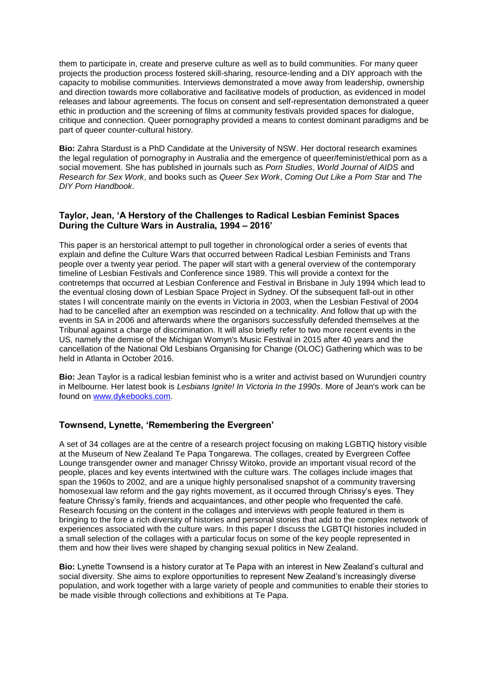them to participate in, create and preserve culture as well as to build communities. For many queer projects the production process fostered skill-sharing, resource-lending and a DIY approach with the capacity to mobilise communities. Interviews demonstrated a move away from leadership, ownership and direction towards more collaborative and facilitative models of production, as evidenced in model releases and labour agreements. The focus on consent and self-representation demonstrated a queer ethic in production and the screening of films at community festivals provided spaces for dialogue, critique and connection. Queer pornography provided a means to contest dominant paradigms and be part of queer counter-cultural history.

**Bio:** Zahra Stardust is a PhD Candidate at the University of NSW. Her doctoral research examines the legal regulation of pornography in Australia and the emergence of queer/feminist/ethical porn as a social movement. She has published in journals such as *Porn Studies*, *World Journal of AIDS* and *Research for Sex Work*, and books such as *Queer Sex Work*, *Coming Out Like a Porn Star* and *The DIY Porn Handbook*.

#### **Taylor, Jean, 'A Herstory of the Challenges to Radical Lesbian Feminist Spaces During the Culture Wars in Australia, 1994 – 2016'**

This paper is an herstorical attempt to pull together in chronological order a series of events that explain and define the Culture Wars that occurred between Radical Lesbian Feminists and Trans people over a twenty year period. The paper will start with a general overview of the contemporary timeline of Lesbian Festivals and Conference since 1989. This will provide a context for the contretemps that occurred at Lesbian Conference and Festival in Brisbane in July 1994 which lead to the eventual closing down of Lesbian Space Project in Sydney. Of the subsequent fall-out in other states I will concentrate mainly on the events in Victoria in 2003, when the Lesbian Festival of 2004 had to be cancelled after an exemption was rescinded on a technicality. And follow that up with the events in SA in 2006 and afterwards where the organisors successfully defended themselves at the Tribunal against a charge of discrimination. It will also briefly refer to two more recent events in the US, namely the demise of the Michigan Womyn's Music Festival in 2015 after 40 years and the cancellation of the National Old Lesbians Organising for Change (OLOC) Gathering which was to be held in Atlanta in October 2016.

**Bio:** Jean Taylor is a radical lesbian feminist who is a writer and activist based on Wurundjeri country in Melbourne. Her latest book is *Lesbians Ignite! In Victoria In the 1990s*. More of Jean's work can be found on [www.dykebooks.com.](http://www.dykebooks.com/)

#### **Townsend, Lynette, 'Remembering the Evergreen'**

A set of 34 collages are at the centre of a research project focusing on making LGBTIQ history visible at the Museum of New Zealand Te Papa Tongarewa. The collages, created by Evergreen Coffee Lounge transgender owner and manager Chrissy Witoko, provide an important visual record of the people, places and key events intertwined with the culture wars. The collages include images that span the 1960s to 2002, and are a unique highly personalised snapshot of a community traversing homosexual law reform and the gay rights movement, as it occurred through Chrissy's eyes. They feature Chrissy's family, friends and acquaintances, and other people who frequented the café. Research focusing on the content in the collages and interviews with people featured in them is bringing to the fore a rich diversity of histories and personal stories that add to the complex network of experiences associated with the culture wars. In this paper I discuss the LGBTQI histories included in a small selection of the collages with a particular focus on some of the key people represented in them and how their lives were shaped by changing sexual politics in New Zealand.

**Bio:** Lynette Townsend is a history curator at Te Papa with an interest in New Zealand's cultural and social diversity. She aims to explore opportunities to represent New Zealand's increasingly diverse population, and work together with a large variety of people and communities to enable their stories to be made visible through collections and exhibitions at Te Papa.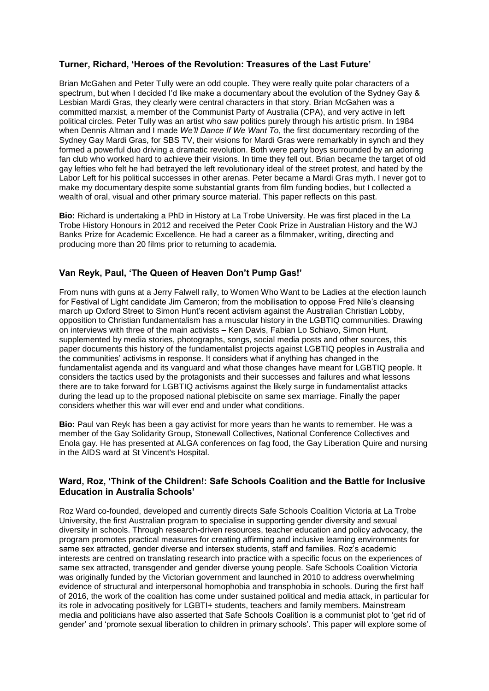# **Turner, Richard, 'Heroes of the Revolution: Treasures of the Last Future'**

Brian McGahen and Peter Tully were an odd couple. They were really quite polar characters of a spectrum, but when I decided I'd like make a documentary about the evolution of the Sydney Gay & Lesbian Mardi Gras, they clearly were central characters in that story. Brian McGahen was a committed marxist, a member of the Communist Party of Australia (CPA), and very active in left political circles. Peter Tully was an artist who saw politics purely through his artistic prism. In 1984 when Dennis Altman and I made *We'll Dance If We Want To*, the first documentary recording of the Sydney Gay Mardi Gras, for SBS TV, their visions for Mardi Gras were remarkably in synch and they formed a powerful duo driving a dramatic revolution. Both were party boys surrounded by an adoring fan club who worked hard to achieve their visions. In time they fell out. Brian became the target of old gay lefties who felt he had betrayed the left revolutionary ideal of the street protest, and hated by the Labor Left for his political successes in other arenas. Peter became a Mardi Gras myth. I never got to make my documentary despite some substantial grants from film funding bodies, but I collected a wealth of oral, visual and other primary source material. This paper reflects on this past.

**Bio:** Richard is undertaking a PhD in History at La Trobe University. He was first placed in the La Trobe History Honours in 2012 and received the Peter Cook Prize in Australian History and the WJ Banks Prize for Academic Excellence. He had a career as a filmmaker, writing, directing and producing more than 20 films prior to returning to academia.

#### **Van Reyk, Paul, 'The Queen of Heaven Don't Pump Gas!'**

From nuns with guns at a Jerry Falwell rally, to Women Who Want to be Ladies at the election launch for Festival of Light candidate Jim Cameron; from the mobilisation to oppose Fred Nile's cleansing march up Oxford Street to Simon Hunt's recent activism against the Australian Christian Lobby. opposition to Christian fundamentalism has a muscular history in the LGBTIQ communities. Drawing on interviews with three of the main activists – Ken Davis, Fabian Lo Schiavo, Simon Hunt, supplemented by media stories, photographs, songs, social media posts and other sources, this paper documents this history of the fundamentalist projects against LGBTIQ peoples in Australia and the communities' activisms in response. It considers what if anything has changed in the fundamentalist agenda and its vanguard and what those changes have meant for LGBTIQ people. It considers the tactics used by the protagonists and their successes and failures and what lessons there are to take forward for LGBTIQ activisms against the likely surge in fundamentalist attacks during the lead up to the proposed national plebiscite on same sex marriage. Finally the paper considers whether this war will ever end and under what conditions.

**Bio:** Paul van Reyk has been a gay activist for more years than he wants to remember. He was a member of the Gay Solidarity Group, Stonewall Collectives, National Conference Collectives and Enola gay. He has presented at ALGA conferences on fag food, the Gay Liberation Quire and nursing in the AIDS ward at St Vincent's Hospital.

#### **Ward, Roz, 'Think of the Children!: Safe Schools Coalition and the Battle for Inclusive Education in Australia Schools'**

Roz Ward co-founded, developed and currently directs Safe Schools Coalition Victoria at La Trobe University, the first Australian program to specialise in supporting gender diversity and sexual diversity in schools. Through research-driven resources, teacher education and policy advocacy, the program promotes practical measures for creating affirming and inclusive learning environments for same sex attracted, gender diverse and intersex students, staff and families. Roz's academic interests are centred on translating research into practice with a specific focus on the experiences of same sex attracted, transgender and gender diverse young people. Safe Schools Coalition Victoria was originally funded by the Victorian government and launched in 2010 to address overwhelming evidence of structural and interpersonal homophobia and transphobia in schools. During the first half of 2016, the work of the coalition has come under sustained political and media attack, in particular for its role in advocating positively for LGBTI+ students, teachers and family members. Mainstream media and politicians have also asserted that Safe Schools Coalition is a communist plot to 'get rid of gender' and 'promote sexual liberation to children in primary schools'. This paper will explore some of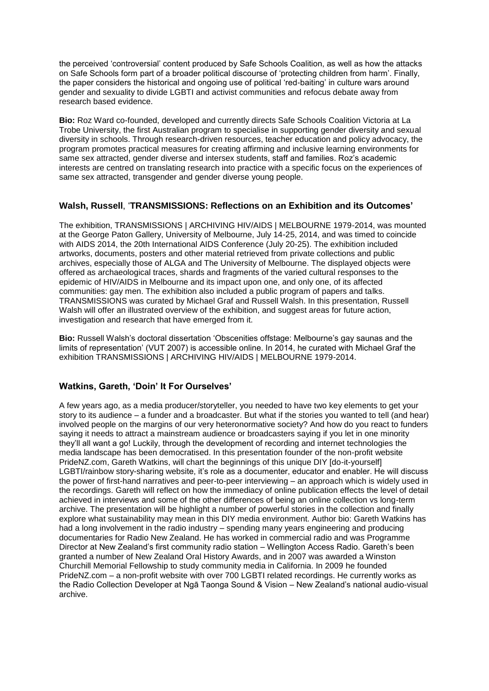the perceived 'controversial' content produced by Safe Schools Coalition, as well as how the attacks on Safe Schools form part of a broader political discourse of 'protecting children from harm'. Finally, the paper considers the historical and ongoing use of political 'red-baiting' in culture wars around gender and sexuality to divide LGBTI and activist communities and refocus debate away from research based evidence.

**Bio:** Roz Ward co-founded, developed and currently directs Safe Schools Coalition Victoria at La Trobe University, the first Australian program to specialise in supporting gender diversity and sexual diversity in schools. Through research-driven resources, teacher education and policy advocacy, the program promotes practical measures for creating affirming and inclusive learning environments for same sex attracted, gender diverse and intersex students, staff and families. Roz's academic interests are centred on translating research into practice with a specific focus on the experiences of same sex attracted, transgender and gender diverse young people.

#### **Walsh, Russell**, '**TRANSMISSIONS: Reflections on an Exhibition and its Outcomes'**

The exhibition, TRANSMISSIONS | ARCHIVING HIV/AIDS | MELBOURNE 1979-2014, was mounted at the George Paton Gallery, University of Melbourne, July 14-25, 2014, and was timed to coincide with AIDS 2014, the 20th International AIDS Conference (July 20-25). The exhibition included artworks, documents, posters and other material retrieved from private collections and public archives, especially those of ALGA and The University of Melbourne. The displayed objects were offered as archaeological traces, shards and fragments of the varied cultural responses to the epidemic of HIV/AIDS in Melbourne and its impact upon one, and only one, of its affected communities: gay men. The exhibition also included a public program of papers and talks. TRANSMISSIONS was curated by Michael Graf and Russell Walsh. In this presentation, Russell Walsh will offer an illustrated overview of the exhibition, and suggest areas for future action, investigation and research that have emerged from it.

**Bio:** Russell Walsh's doctoral dissertation 'Obscenities offstage: Melbourne's gay saunas and the limits of representation' (VUT 2007) is accessible online. In 2014, he curated with Michael Graf the exhibition TRANSMISSIONS | ARCHIVING HIV/AIDS | MELBOURNE 1979-2014.

# **Watkins, Gareth, 'Doin' It For Ourselves'**

A few years ago, as a media producer/storyteller, you needed to have two key elements to get your story to its audience – a funder and a broadcaster. But what if the stories you wanted to tell (and hear) involved people on the margins of our very heteronormative society? And how do you react to funders saying it needs to attract a mainstream audience or broadcasters saying if you let in one minority they'll all want a go! Luckily, through the development of recording and internet technologies the media landscape has been democratised. In this presentation founder of the non-profit website PrideNZ.com, Gareth Watkins, will chart the beginnings of this unique DIY [do-it-yourself] LGBTI/rainbow story-sharing website, it's role as a documenter, educator and enabler. He will discuss the power of first-hand narratives and peer-to-peer interviewing – an approach which is widely used in the recordings. Gareth will reflect on how the immediacy of online publication effects the level of detail achieved in interviews and some of the other differences of being an online collection vs long-term archive. The presentation will be highlight a number of powerful stories in the collection and finally explore what sustainability may mean in this DIY media environment. Author bio: Gareth Watkins has had a long involvement in the radio industry – spending many years engineering and producing documentaries for Radio New Zealand. He has worked in commercial radio and was Programme Director at New Zealand's first community radio station – Wellington Access Radio. Gareth's been granted a number of New Zealand Oral History Awards, and in 2007 was awarded a Winston Churchill Memorial Fellowship to study community media in California. In 2009 he founded PrideNZ.com – a non-profit website with over 700 LGBTI related recordings. He currently works as the Radio Collection Developer at Ngā Taonga Sound & Vision – New Zealand's national audio-visual archive.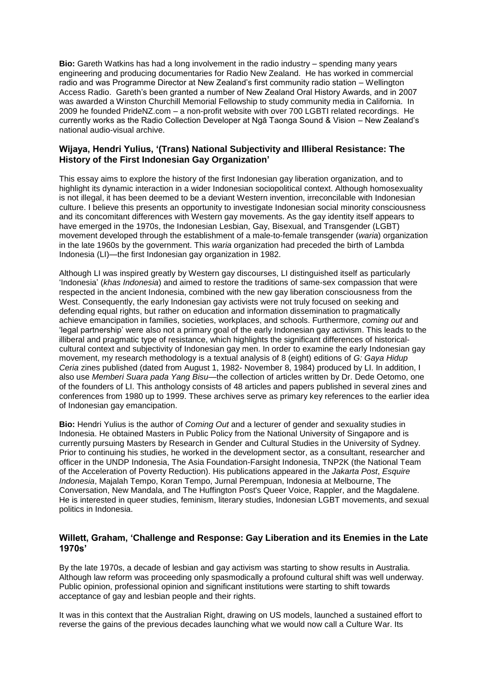**Bio:** Gareth Watkins has had a long involvement in the radio industry – spending many years engineering and producing documentaries for Radio New Zealand. He has worked in commercial radio and was Programme Director at New Zealand's first community radio station – Wellington Access Radio. Gareth's been granted a number of New Zealand Oral History Awards, and in 2007 was awarded a Winston Churchill Memorial Fellowship to study community media in California. In 2009 he founded PrideNZ.com – a non-profit website with over 700 LGBTI related recordings. He currently works as the Radio Collection Developer at Ngā Taonga Sound & Vision – New Zealand's national audio-visual archive.

#### **Wijaya, Hendri Yulius, '(Trans) National Subjectivity and Illiberal Resistance: The History of the First Indonesian Gay Organization'**

This essay aims to explore the history of the first Indonesian gay liberation organization, and to highlight its dynamic interaction in a wider Indonesian sociopolitical context. Although homosexuality is not illegal, it has been deemed to be a deviant Western invention, irreconcilable with Indonesian culture. I believe this presents an opportunity to investigate Indonesian social minority consciousness and its concomitant differences with Western gay movements. As the gay identity itself appears to have emerged in the 1970s, the Indonesian Lesbian, Gay, Bisexual, and Transgender (LGBT) movement developed through the establishment of a male-to-female transgender (*waria*) organization in the late 1960s by the government. This *waria* organization had preceded the birth of Lambda Indonesia (LI)—the first Indonesian gay organization in 1982.

Although LI was inspired greatly by Western gay discourses, LI distinguished itself as particularly 'Indonesia' (*khas Indonesia*) and aimed to restore the traditions of same-sex compassion that were respected in the ancient Indonesia, combined with the new gay liberation consciousness from the West. Consequently, the early Indonesian gay activists were not truly focused on seeking and defending equal rights, but rather on education and information dissemination to pragmatically achieve emancipation in families, societies, workplaces, and schools. Furthermore, *coming out* and 'legal partnership' were also not a primary goal of the early Indonesian gay activism. This leads to the illiberal and pragmatic type of resistance, which highlights the significant differences of historicalcultural context and subjectivity of Indonesian gay men. In order to examine the early Indonesian gay movement, my research methodology is a textual analysis of 8 (eight) editions of *G: Gaya Hidup Ceria* zines published (dated from August 1, 1982- November 8, 1984) produced by LI. In addition, I also use *Memberi Suara pada Yang Bisu*—the collection of articles written by Dr. Dede Oetomo, one of the founders of LI. This anthology consists of 48 articles and papers published in several zines and conferences from 1980 up to 1999. These archives serve as primary key references to the earlier idea of Indonesian gay emancipation.

**Bio:** Hendri Yulius is the author of *Coming Out* and a lecturer of gender and sexuality studies in Indonesia. He obtained Masters in Public Policy from the National University of Singapore and is currently pursuing Masters by Research in Gender and Cultural Studies in the University of Sydney. Prior to continuing his studies, he worked in the development sector, as a consultant, researcher and officer in the UNDP Indonesia, The Asia Foundation-Farsight Indonesia, TNP2K (the National Team of the Acceleration of Poverty Reduction). His publications appeared in the *Jakarta Post*, *Esquire Indonesia*, Majalah Tempo, Koran Tempo, Jurnal Perempuan, Indonesia at Melbourne, The Conversation, New Mandala, and The Huffington Post's Queer Voice, Rappler, and the Magdalene. He is interested in queer studies, feminism, literary studies, Indonesian LGBT movements, and sexual politics in Indonesia.

#### **Willett, Graham, 'Challenge and Response: Gay Liberation and its Enemies in the Late 1970s'**

By the late 1970s, a decade of lesbian and gay activism was starting to show results in Australia. Although law reform was proceeding only spasmodically a profound cultural shift was well underway. Public opinion, professional opinion and significant institutions were starting to shift towards acceptance of gay and lesbian people and their rights.

It was in this context that the Australian Right, drawing on US models, launched a sustained effort to reverse the gains of the previous decades launching what we would now call a Culture War. Its